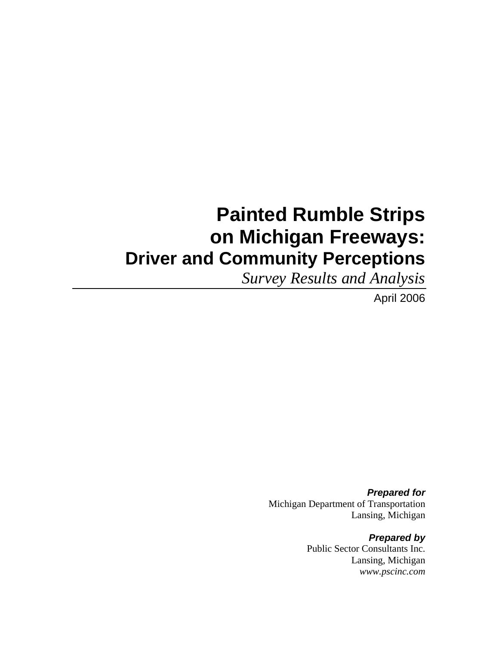# **Painted Rumble Strips on Michigan Freeways: Driver and Community Perceptions**

*Survey Results and Analysis*

April 2006

*Prepared for*  Michigan Department of Transportation Lansing, Michigan

> *Prepared by*  Public Sector Consultants Inc. Lansing, Michigan *www.pscinc.com*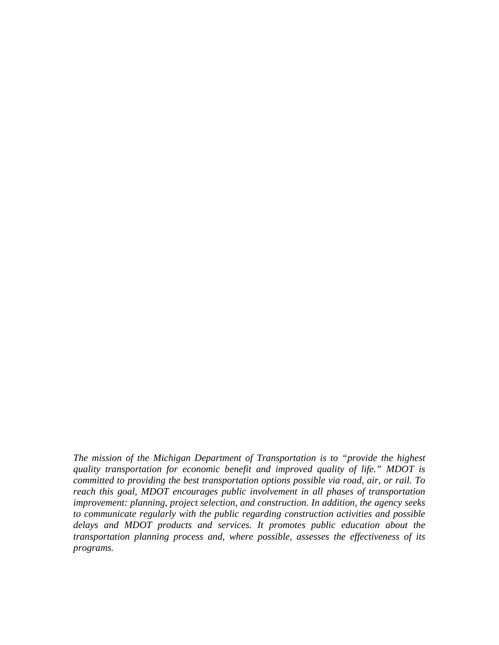*The mission of the Michigan Department of Transportation is to "provide the highest quality transportation for economic benefit and improved quality of life." MDOT is committed to providing the best transportation options possible via road, air, or rail. To reach this goal, MDOT encourages public involvement in all phases of transportation improvement: planning, project selection, and construction. In addition, the agency seeks to communicate regularly with the public regarding construction activities and possible delays and MDOT products and services. It promotes public education about the transportation planning process and, where possible, assesses the effectiveness of its programs.*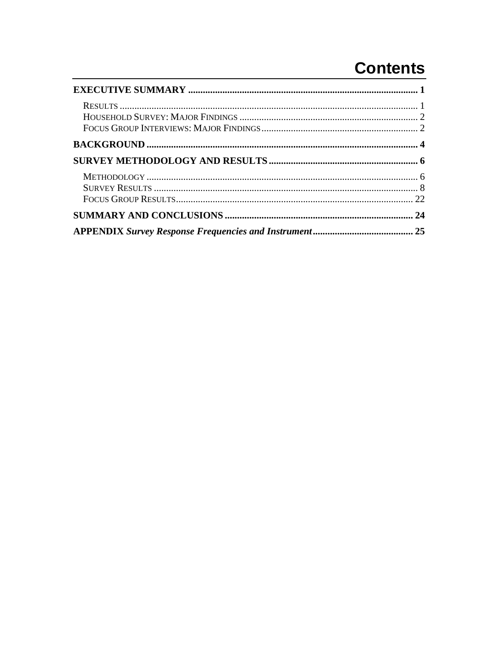# **Contents**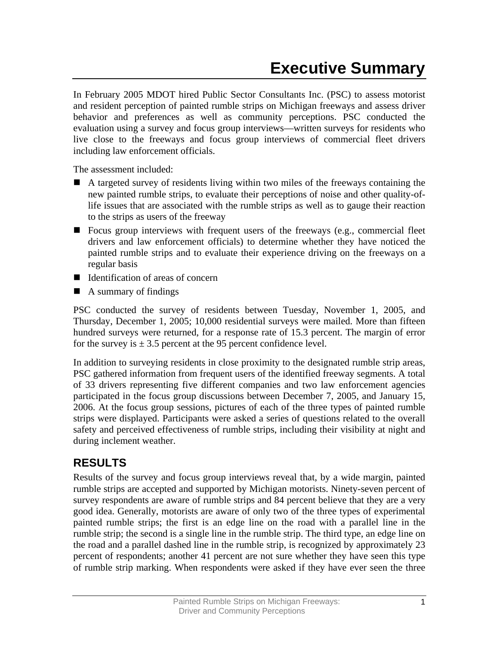<span id="page-4-0"></span>In February 2005 MDOT hired Public Sector Consultants Inc. (PSC) to assess motorist and resident perception of painted rumble strips on Michigan freeways and assess driver behavior and preferences as well as community perceptions. PSC conducted the evaluation using a survey and focus group interviews—written surveys for residents who live close to the freeways and focus group interviews of commercial fleet drivers including law enforcement officials.

The assessment included:

- A targeted survey of residents living within two miles of the freeways containing the new painted rumble strips, to evaluate their perceptions of noise and other quality-oflife issues that are associated with the rumble strips as well as to gauge their reaction to the strips as users of the freeway
- **Focus group interviews with frequent users of the freeways (e.g., commercial fleet** drivers and law enforcement officials) to determine whether they have noticed the painted rumble strips and to evaluate their experience driving on the freeways on a regular basis
- $\blacksquare$  Identification of areas of concern
- $\blacksquare$  A summary of findings

PSC conducted the survey of residents between Tuesday, November 1, 2005, and Thursday, December 1, 2005; 10,000 residential surveys were mailed. More than fifteen hundred surveys were returned, for a response rate of 15.3 percent. The margin of error for the survey is  $\pm$  3.5 percent at the 95 percent confidence level.

In addition to surveying residents in close proximity to the designated rumble strip areas, PSC gathered information from frequent users of the identified freeway segments. A total of 33 drivers representing five different companies and two law enforcement agencies participated in the focus group discussions between December 7, 2005, and January 15, 2006. At the focus group sessions, pictures of each of the three types of painted rumble strips were displayed. Participants were asked a series of questions related to the overall safety and perceived effectiveness of rumble strips, including their visibility at night and during inclement weather.

## **RESULTS**

Results of the survey and focus group interviews reveal that, by a wide margin, painted rumble strips are accepted and supported by Michigan motorists. Ninety-seven percent of survey respondents are aware of rumble strips and 84 percent believe that they are a very good idea. Generally, motorists are aware of only two of the three types of experimental painted rumble strips; the first is an edge line on the road with a parallel line in the rumble strip; the second is a single line in the rumble strip. The third type, an edge line on the road and a parallel dashed line in the rumble strip, is recognized by approximately 23 percent of respondents; another 41 percent are not sure whether they have seen this type of rumble strip marking. When respondents were asked if they have ever seen the three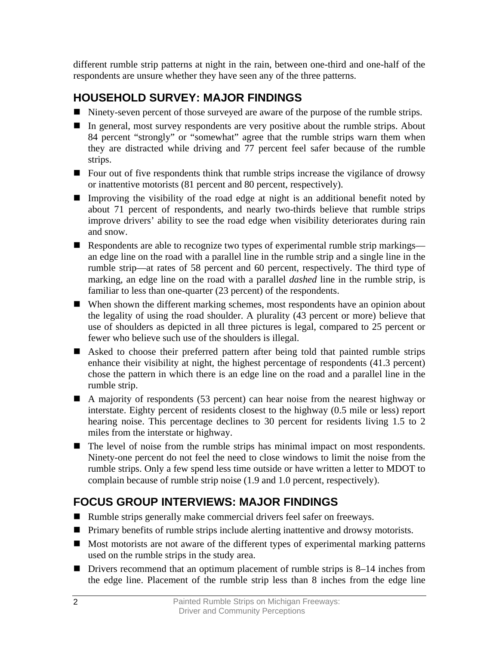<span id="page-5-0"></span>different rumble strip patterns at night in the rain, between one-third and one-half of the respondents are unsure whether they have seen any of the three patterns.

# **HOUSEHOLD SURVEY: MAJOR FINDINGS**

- Ninety-seven percent of those surveyed are aware of the purpose of the rumble strips.
- In general, most survey respondents are very positive about the rumble strips. About 84 percent "strongly" or "somewhat" agree that the rumble strips warn them when they are distracted while driving and 77 percent feel safer because of the rumble strips.
- Four out of five respondents think that rumble strips increase the vigilance of drowsy or inattentive motorists (81 percent and 80 percent, respectively).
- Improving the visibility of the road edge at night is an additional benefit noted by about 71 percent of respondents, and nearly two-thirds believe that rumble strips improve drivers' ability to see the road edge when visibility deteriorates during rain and snow.
- Respondents are able to recognize two types of experimental rumble strip markings an edge line on the road with a parallel line in the rumble strip and a single line in the rumble strip—at rates of 58 percent and 60 percent, respectively. The third type of marking, an edge line on the road with a parallel *dashed* line in the rumble strip, is familiar to less than one-quarter (23 percent) of the respondents.
- When shown the different marking schemes, most respondents have an opinion about the legality of using the road shoulder. A plurality (43 percent or more) believe that use of shoulders as depicted in all three pictures is legal, compared to 25 percent or fewer who believe such use of the shoulders is illegal.
- Asked to choose their preferred pattern after being told that painted rumble strips enhance their visibility at night, the highest percentage of respondents (41.3 percent) chose the pattern in which there is an edge line on the road and a parallel line in the rumble strip.
- A majority of respondents (53 percent) can hear noise from the nearest highway or interstate. Eighty percent of residents closest to the highway (0.5 mile or less) report hearing noise. This percentage declines to 30 percent for residents living 1.5 to 2 miles from the interstate or highway.
- The level of noise from the rumble strips has minimal impact on most respondents. Ninety-one percent do not feel the need to close windows to limit the noise from the rumble strips. Only a few spend less time outside or have written a letter to MDOT to complain because of rumble strip noise (1.9 and 1.0 percent, respectively).

# **FOCUS GROUP INTERVIEWS: MAJOR FINDINGS**

- Rumble strips generally make commercial drivers feel safer on freeways.
- **Primary benefits of rumble strips include alerting inattentive and drowsy motorists.**
- Most motorists are not aware of the different types of experimental marking patterns used on the rumble strips in the study area.
- Drivers recommend that an optimum placement of rumble strips is 8–14 inches from the edge line. Placement of the rumble strip less than 8 inches from the edge line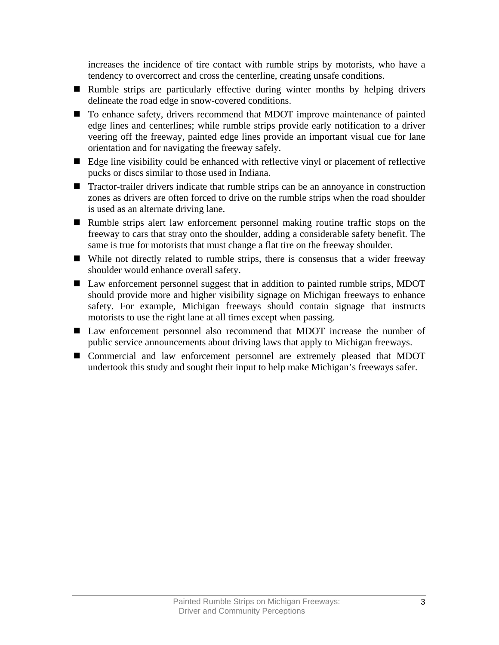increases the incidence of tire contact with rumble strips by motorists, who have a tendency to overcorrect and cross the centerline, creating unsafe conditions.

- Rumble strips are particularly effective during winter months by helping drivers delineate the road edge in snow-covered conditions.
- To enhance safety, drivers recommend that MDOT improve maintenance of painted edge lines and centerlines; while rumble strips provide early notification to a driver veering off the freeway, painted edge lines provide an important visual cue for lane orientation and for navigating the freeway safely.
- Edge line visibility could be enhanced with reflective vinyl or placement of reflective pucks or discs similar to those used in Indiana.
- **Tractor-trailer drivers indicate that rumble strips can be an annoyance in construction** zones as drivers are often forced to drive on the rumble strips when the road shoulder is used as an alternate driving lane.
- Rumble strips alert law enforcement personnel making routine traffic stops on the freeway to cars that stray onto the shoulder, adding a considerable safety benefit. The same is true for motorists that must change a flat tire on the freeway shoulder.
- While not directly related to rumble strips, there is consensus that a wider freeway shoulder would enhance overall safety.
- Law enforcement personnel suggest that in addition to painted rumble strips, MDOT should provide more and higher visibility signage on Michigan freeways to enhance safety. For example, Michigan freeways should contain signage that instructs motorists to use the right lane at all times except when passing.
- Law enforcement personnel also recommend that MDOT increase the number of public service announcements about driving laws that apply to Michigan freeways.
- Commercial and law enforcement personnel are extremely pleased that MDOT undertook this study and sought their input to help make Michigan's freeways safer.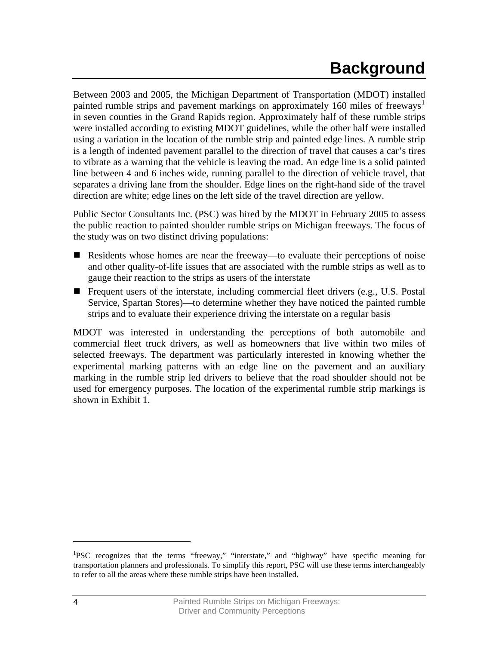# **Background**

<span id="page-7-0"></span>Between 2003 and 2005, the Michigan Department of Transportation (MDOT) installed painted rumble strips and pavement markings on approximately [1](#page-7-1)60 miles of freeways<sup>1</sup> in seven counties in the Grand Rapids region. Approximately half of these rumble strips were installed according to existing MDOT guidelines, while the other half were installed using a variation in the location of the rumble strip and painted edge lines. A rumble strip is a length of indented pavement parallel to the direction of travel that causes a car's tires to vibrate as a warning that the vehicle is leaving the road. An edge line is a solid painted line between 4 and 6 inches wide, running parallel to the direction of vehicle travel, that separates a driving lane from the shoulder. Edge lines on the right-hand side of the travel direction are white; edge lines on the left side of the travel direction are yellow.

Public Sector Consultants Inc. (PSC) was hired by the MDOT in February 2005 to assess the public reaction to painted shoulder rumble strips on Michigan freeways. The focus of the study was on two distinct driving populations:

- Residents whose homes are near the freeway—to evaluate their perceptions of noise and other quality-of-life issues that are associated with the rumble strips as well as to gauge their reaction to the strips as users of the interstate
- **Figure 1** Frequent users of the interstate, including commercial fleet drivers (e.g., U.S. Postal Service, Spartan Stores)—to determine whether they have noticed the painted rumble strips and to evaluate their experience driving the interstate on a regular basis

MDOT was interested in understanding the perceptions of both automobile and commercial fleet truck drivers, as well as homeowners that live within two miles of selected freeways. The department was particularly interested in knowing whether the experimental marking patterns with an edge line on the pavement and an auxiliary marking in the rumble strip led drivers to believe that the road shoulder should not be used for emergency purposes. The location of the experimental rumble strip markings is shown in Exhibit 1.

<span id="page-7-1"></span><sup>&</sup>lt;sup>1</sup>PSC recognizes that the terms "freeway," "interstate," and "highway" have specific meaning for transportation planners and professionals. To simplify this report, PSC will use these terms interchangeably to refer to all the areas where these rumble strips have been installed.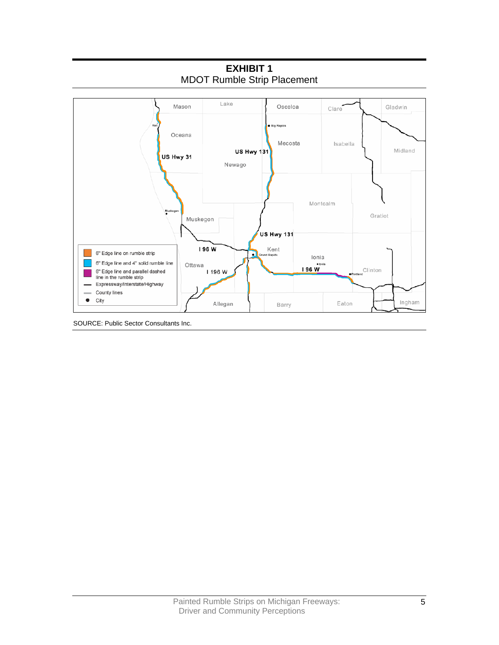

**EXHIBIT 1**  MDOT Rumble Strip Placement

SOURCE: Public Sector Consultants Inc.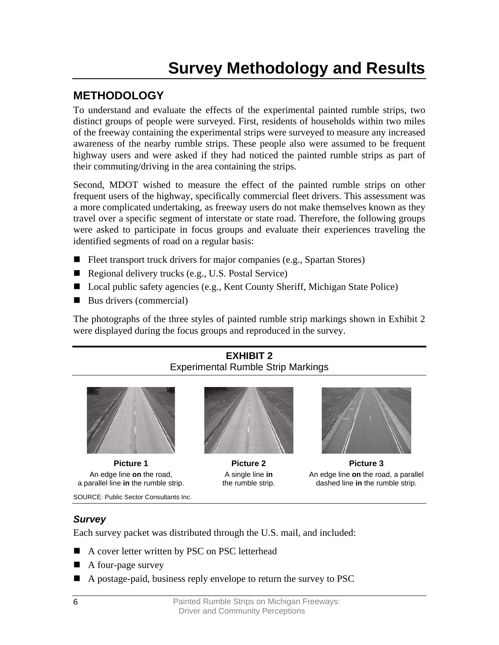# **Survey Methodology and Results**

## <span id="page-9-0"></span>**METHODOLOGY**

To understand and evaluate the effects of the experimental painted rumble strips, two distinct groups of people were surveyed. First, residents of households within two miles of the freeway containing the experimental strips were surveyed to measure any increased awareness of the nearby rumble strips. These people also were assumed to be frequent highway users and were asked if they had noticed the painted rumble strips as part of their commuting/driving in the area containing the strips.

Second, MDOT wished to measure the effect of the painted rumble strips on other frequent users of the highway, specifically commercial fleet drivers. This assessment was a more complicated undertaking, as freeway users do not make themselves known as they travel over a specific segment of interstate or state road. Therefore, the following groups were asked to participate in focus groups and evaluate their experiences traveling the identified segments of road on a regular basis:

- Fleet transport truck drivers for major companies (e.g., Spartan Stores)
- Regional delivery trucks (e.g., U.S. Postal Service)
- Local public safety agencies (e.g., Kent County Sheriff, Michigan State Police)
- $\blacksquare$  Bus drivers (commercial)

The photographs of the three styles of painted rumble strip markings shown in Exhibit 2 were displayed during the focus groups and reproduced in the survey.

### **EXHIBIT 2**  Experimental Rumble Strip Markings



An edge line **on** the road, a parallel line **in** the rumble strip.

SOURCE: Public Sector Consultants Inc.



A single line **in** the rumble strip.



**Picture 1 Picture 2 Picture 3**  An edge line **on** the road, a parallel dashed line **in** the rumble strip.

## *Survey*

Each survey packet was distributed through the U.S. mail, and included:

- A cover letter written by PSC on PSC letterhead
- $\blacksquare$  A four-page survey
- A postage-paid, business reply envelope to return the survey to PSC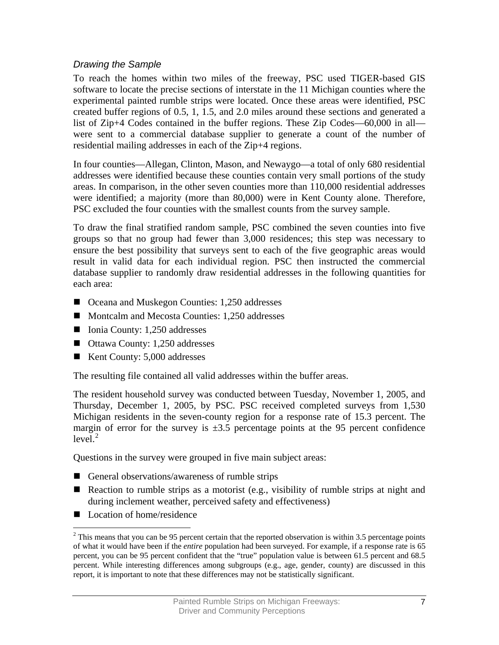### *Drawing the Sample*

To reach the homes within two miles of the freeway, PSC used TIGER-based GIS software to locate the precise sections of interstate in the 11 Michigan counties where the experimental painted rumble strips were located. Once these areas were identified, PSC created buffer regions of 0.5, 1, 1.5, and 2.0 miles around these sections and generated a list of Zip+4 Codes contained in the buffer regions. These Zip Codes—60,000 in all were sent to a commercial database supplier to generate a count of the number of residential mailing addresses in each of the Zip+4 regions.

In four counties—Allegan, Clinton, Mason, and Newaygo—a total of only 680 residential addresses were identified because these counties contain very small portions of the study areas. In comparison, in the other seven counties more than 110,000 residential addresses were identified; a majority (more than 80,000) were in Kent County alone. Therefore, PSC excluded the four counties with the smallest counts from the survey sample.

To draw the final stratified random sample, PSC combined the seven counties into five groups so that no group had fewer than 3,000 residences; this step was necessary to ensure the best possibility that surveys sent to each of the five geographic areas would result in valid data for each individual region. PSC then instructed the commercial database supplier to randomly draw residential addresses in the following quantities for each area:

- Oceana and Muskegon Counties: 1,250 addresses
- Montcalm and Mecosta Counties: 1,250 addresses
- $\blacksquare$  Ionia County: 1,250 addresses
- Ottawa County: 1,250 addresses
- Kent County: 5,000 addresses

The resulting file contained all valid addresses within the buffer areas.

The resident household survey was conducted between Tuesday, November 1, 2005, and Thursday, December 1, 2005, by PSC. PSC received completed surveys from 1,530 Michigan residents in the seven-county region for a response rate of 15.3 percent. The margin of error for the survey is  $\pm 3.5$  percentage points at the 95 percent confidence  $level.<sup>2</sup>$  $level.<sup>2</sup>$  $level.<sup>2</sup>$ 

Questions in the survey were grouped in five main subject areas:

- General observations/awareness of rumble strips
- Reaction to rumble strips as a motorist (e.g., visibility of rumble strips at night and during inclement weather, perceived safety and effectiveness)
- Location of home/residence

 $\overline{a}$ 

<span id="page-10-0"></span> $2$ <sup>2</sup> This means that you can be 95 percent certain that the reported observation is within 3.5 percentage points of what it would have been if the *entire* population had been surveyed. For example, if a response rate is 65 percent, you can be 95 percent confident that the "true" population value is between 61.5 percent and 68.5 percent. While interesting differences among subgroups (e.g., age, gender, county) are discussed in this report, it is important to note that these differences may not be statistically significant.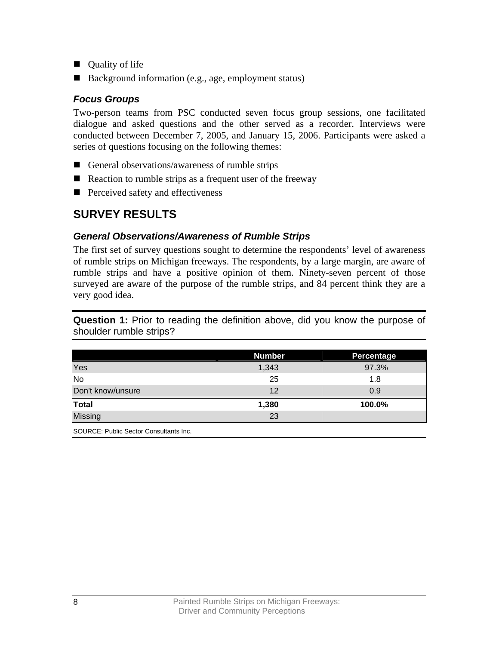- <span id="page-11-0"></span>■ Quality of life
- Background information (e.g., age, employment status)

### *Focus Groups*

Two-person teams from PSC conducted seven focus group sessions, one facilitated dialogue and asked questions and the other served as a recorder. Interviews were conducted between December 7, 2005, and January 15, 2006. Participants were asked a series of questions focusing on the following themes:

- General observations/awareness of rumble strips
- $\blacksquare$  Reaction to rumble strips as a frequent user of the freeway
- **Perceived safety and effectiveness**

## **SURVEY RESULTS**

### *General Observations/Awareness of Rumble Strips*

The first set of survey questions sought to determine the respondents' level of awareness of rumble strips on Michigan freeways. The respondents, by a large margin, are aware of rumble strips and have a positive opinion of them. Ninety-seven percent of those surveyed are aware of the purpose of the rumble strips, and 84 percent think they are a very good idea.

**Question 1:** Prior to reading the definition above, did you know the purpose of shoulder rumble strips?

|                   | <b>Number</b> | Percentage |
|-------------------|---------------|------------|
| Yes               | 1,343         | 97.3%      |
| <b>No</b>         | 25            | 1.8        |
| Don't know/unsure | 12            | 0.9        |
| <b>Total</b>      | 1,380         | 100.0%     |
| Missing           | 23            |            |
|                   |               |            |

SOURCE: Public Sector Consultants Inc.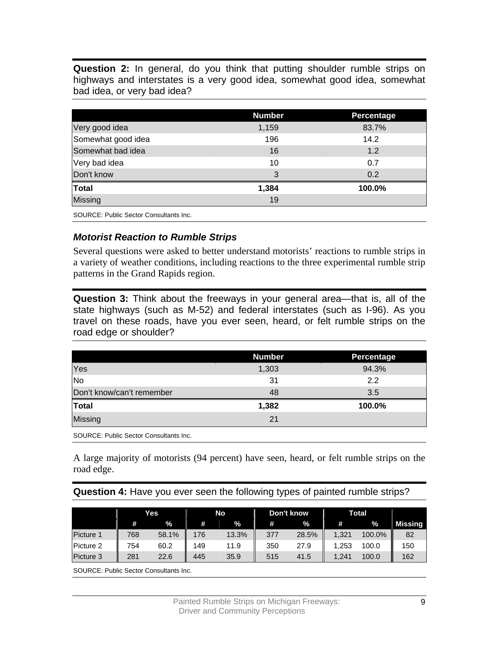**Question 2:** In general, do you think that putting shoulder rumble strips on highways and interstates is a very good idea, somewhat good idea, somewhat bad idea, or very bad idea?

|                                        | <b>Number</b> | Percentage |
|----------------------------------------|---------------|------------|
| Very good idea                         | 1,159         | 83.7%      |
| Somewhat good idea                     | 196           | 14.2       |
| Somewhat bad idea                      | 16            | 1.2        |
| Very bad idea                          | 10            | 0.7        |
| Don't know                             | 3             | 0.2        |
| Total                                  | 1,384         | 100.0%     |
| Missing                                | 19            |            |
| SOURCE: Public Sector Consultants Inc. |               |            |

### *Motorist Reaction to Rumble Strips*

Several questions were asked to better understand motorists' reactions to rumble strips in a variety of weather conditions, including reactions to the three experimental rumble strip patterns in the Grand Rapids region.

**Question 3:** Think about the freeways in your general area—that is, all of the state highways (such as M-52) and federal interstates (such as I-96). As you travel on these roads, have you ever seen, heard, or felt rumble strips on the road edge or shoulder?

|                           | <b>Number</b> | Percentage |
|---------------------------|---------------|------------|
| Yes                       | 1,303         | 94.3%      |
| No                        | 31            | 2.2        |
| Don't know/can't remember | 48            | 3.5        |
| <b>Total</b>              | 1,382         | 100.0%     |
| <b>Missing</b>            | 21            |            |

SOURCE: Public Sector Consultants Inc.

A large majority of motorists (94 percent) have seen, heard, or felt rumble strips on the road edge.

#### **Question 4:** Have you ever seen the following types of painted rumble strips?

|           | Yes |       | No  |       | Don't know |       | Total |        |                |
|-----------|-----|-------|-----|-------|------------|-------|-------|--------|----------------|
|           | #   | %     | #   | %     | #          | %     | #     | %      | <b>Missing</b> |
| Picture 1 | 768 | 58.1% | 176 | 13.3% | 377        | 28.5% | 1,321 | 100.0% | 82             |
| Picture 2 | 754 | 60.2  | 149 | 11.9  | 350        | 27.9  | 1,253 | 100.0  | 150            |
| Picture 3 | 281 | 22.6  | 445 | 35.9  | 515        | 41.5  | 1.241 | 100.0  | 162            |

SOURCE: Public Sector Consultants Inc.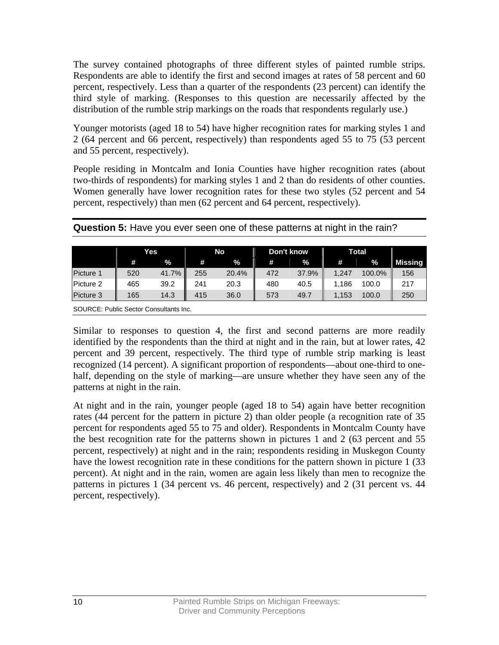The survey contained photographs of three different styles of painted rumble strips. Respondents are able to identify the first and second images at rates of 58 percent and 60 percent, respectively. Less than a quarter of the respondents (23 percent) can identify the third style of marking. (Responses to this question are necessarily affected by the distribution of the rumble strip markings on the roads that respondents regularly use.)

Younger motorists (aged 18 to 54) have higher recognition rates for marking styles 1 and 2 (64 percent and 66 percent, respectively) than respondents aged 55 to 75 (53 percent and 55 percent, respectively).

People residing in Montcalm and Ionia Counties have higher recognition rates (about two-thirds of respondents) for marking styles 1 and 2 than do residents of other counties. Women generally have lower recognition rates for these two styles (52 percent and 54 percent, respectively) than men (62 percent and 64 percent, respectively).

|  | Question 5: Have you ever seen one of these patterns at night in the rain? |
|--|----------------------------------------------------------------------------|
|--|----------------------------------------------------------------------------|

|           | Yes |       | No  |       | Don't know |       | Total |        |         |
|-----------|-----|-------|-----|-------|------------|-------|-------|--------|---------|
|           | m   | $\%$  | #   | %     | #          | $\%$  | #     | $\%$   | Missing |
| Picture 1 | 520 | 41.7% | 255 | 20.4% | 472        | 37.9% | 1.247 | 100.0% | 156     |
| Picture 2 | 465 | 39.2  | 241 | 20.3  | 480        | 40.5  | 1,186 | 100.0  | 217     |
| Picture 3 | 165 | 14.3  | 415 | 36.0  | 573        | 49.7  | 1,153 | 100.0  | 250     |

SOURCE: Public Sector Consultants Inc.

Similar to responses to question 4, the first and second patterns are more readily identified by the respondents than the third at night and in the rain, but at lower rates, 42 percent and 39 percent, respectively. The third type of rumble strip marking is least recognized (14 percent). A significant proportion of respondents—about one-third to onehalf, depending on the style of marking—are unsure whether they have seen any of the patterns at night in the rain.

At night and in the rain, younger people (aged 18 to 54) again have better recognition rates (44 percent for the pattern in picture 2) than older people (a recognition rate of 35 percent for respondents aged 55 to 75 and older). Respondents in Montcalm County have the best recognition rate for the patterns shown in pictures 1 and 2 (63 percent and 55 percent, respectively) at night and in the rain; respondents residing in Muskegon County have the lowest recognition rate in these conditions for the pattern shown in picture 1 (33) percent). At night and in the rain, women are again less likely than men to recognize the patterns in pictures 1 (34 percent vs. 46 percent, respectively) and 2 (31 percent vs. 44 percent, respectively).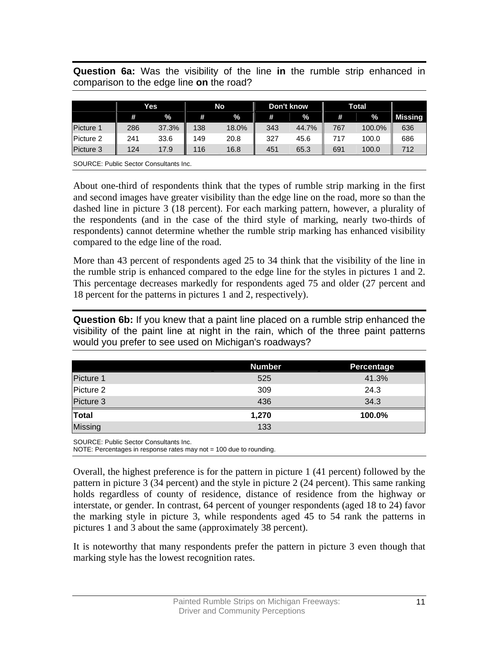**Question 6a:** Was the visibility of the line **in** the rumble strip enhanced in comparison to the edge line **on** the road?

|                                        |     | No<br>Don't know<br>Yes |     |       | Total |       |     |        |                |
|----------------------------------------|-----|-------------------------|-----|-------|-------|-------|-----|--------|----------------|
|                                        | #   | $\%$                    | #   | $\%$  | #     | %     | #   | $\%$   | <b>Missing</b> |
| Picture 1                              | 286 | 37.3%                   | 138 | 18.0% | 343   | 44.7% | 767 | 100.0% | 636            |
| Picture 2                              | 241 | 33.6                    | 149 | 20.8  | 327   | 45.6  | 717 | 100.0  | 686            |
| Picture 3                              | 124 | 17.9                    | 116 | 16.8  | 451   | 65.3  | 691 | 100.0  | 712            |
| SOURCE: Public Sector Consultants Inc. |     |                         |     |       |       |       |     |        |                |

About one-third of respondents think that the types of rumble strip marking in the first and second images have greater visibility than the edge line on the road, more so than the dashed line in picture 3 (18 percent). For each marking pattern, however, a plurality of the respondents (and in the case of the third style of marking, nearly two-thirds of respondents) cannot determine whether the rumble strip marking has enhanced visibility compared to the edge line of the road.

More than 43 percent of respondents aged 25 to 34 think that the visibility of the line in the rumble strip is enhanced compared to the edge line for the styles in pictures 1 and 2. This percentage decreases markedly for respondents aged 75 and older (27 percent and 18 percent for the patterns in pictures 1 and 2, respectively).

**Question 6b:** If you knew that a paint line placed on a rumble strip enhanced the visibility of the paint line at night in the rain, which of the three paint patterns would you prefer to see used on Michigan's roadways?

|                      | <b>Number</b> | Percentage |
|----------------------|---------------|------------|
| Picture 1            | 525           | 41.3%      |
| Picture 2            | 309           | 24.3       |
| Picture 3            | 436           | 34.3       |
| $\frac{1}{\sqrt{1}}$ | 1,270         | 100.0%     |
| <b>Missing</b>       | 133           |            |
|                      |               |            |

SOURCE: Public Sector Consultants Inc.

NOTE: Percentages in response rates may not = 100 due to rounding.

Overall, the highest preference is for the pattern in picture 1 (41 percent) followed by the pattern in picture 3 (34 percent) and the style in picture 2 (24 percent). This same ranking holds regardless of county of residence, distance of residence from the highway or interstate, or gender. In contrast, 64 percent of younger respondents (aged 18 to 24) favor the marking style in picture 3, while respondents aged 45 to 54 rank the patterns in pictures 1 and 3 about the same (approximately 38 percent).

It is noteworthy that many respondents prefer the pattern in picture 3 even though that marking style has the lowest recognition rates.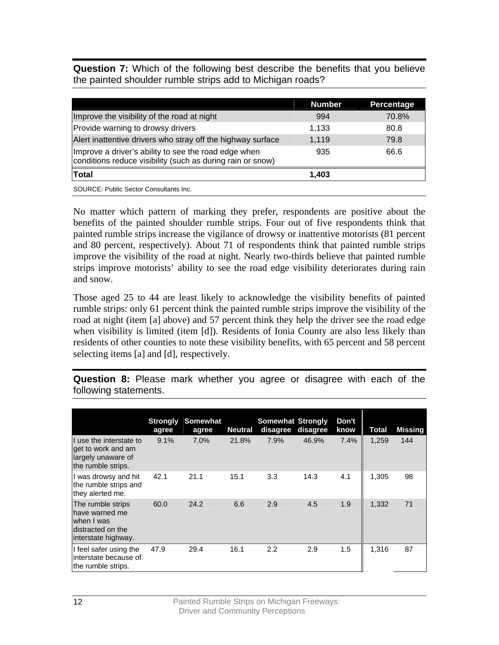**Question 7:** Which of the following best describe the benefits that you believe the painted shoulder rumble strips add to Michigan roads?

|                                                                                                                    | <b>Number</b> | Percentage |
|--------------------------------------------------------------------------------------------------------------------|---------------|------------|
| Improve the visibility of the road at night                                                                        | 994           | 70.8%      |
| Provide warning to drowsy drivers                                                                                  | 1,133         | 80.8       |
| Alert inattentive drivers who stray off the highway surface                                                        | 1,119         | 79.8       |
| Improve a driver's ability to see the road edge when<br>conditions reduce visibility (such as during rain or snow) | 935           | 66.6       |
| <b>Total</b>                                                                                                       | 1,403         |            |
|                                                                                                                    |               |            |

SOURCE: Public Sector Consultants Inc.

No matter which pattern of marking they prefer, respondents are positive about the benefits of the painted shoulder rumble strips. Four out of five respondents think that painted rumble strips increase the vigilance of drowsy or inattentive motorists (81 percent and 80 percent, respectively). About 71 of respondents think that painted rumble strips improve the visibility of the road at night. Nearly two-thirds believe that painted rumble strips improve motorists' ability to see the road edge visibility deteriorates during rain and snow.

Those aged 25 to 44 are least likely to acknowledge the visibility benefits of painted rumble strips: only 61 percent think the painted rumble strips improve the visibility of the road at night (item [a] above) and 57 percent think they help the driver see the road edge when visibility is limited (item [d]). Residents of Ionia County are also less likely than residents of other counties to note these visibility benefits, with 65 percent and 58 percent selecting items [a] and [d], respectively.

**Question 8:** Please mark whether you agree or disagree with each of the following statements.

|                                                                                               | <b>Strongly</b><br>agree | Somewhat<br>agree | <b>Neutral</b> | <b>Somewhat Strongly</b><br>disagree | disagree | Don't<br>know | Total | <b>Missing</b> |
|-----------------------------------------------------------------------------------------------|--------------------------|-------------------|----------------|--------------------------------------|----------|---------------|-------|----------------|
| If use the interstate to<br>get to work and am<br>largely unaware of<br>the rumble strips.    | 9.1%                     | 7.0%              | 21.8%          | 7.9%                                 | 46.9%    | 7.4%          | 1,259 | 144            |
| I was drowsy and hit<br>the rumble strips and<br>they alerted me.                             | 42.1                     | 21.1              | 15.1           | 3.3                                  | 14.3     | 4.1           | 1,305 | 98             |
| The rumble strips<br>have warned me<br>when I was<br>distracted on the<br>interstate highway. | 60.0                     | 24.2              | 6.6            | 2.9                                  | 4.5      | 1.9           | 1,332 | 71             |
| I feel safer using the<br>interstate because of<br>the rumble strips.                         | 47.9                     | 29.4              | 16.1           | 2.2                                  | 2.9      | 1.5           | 1,316 | 87             |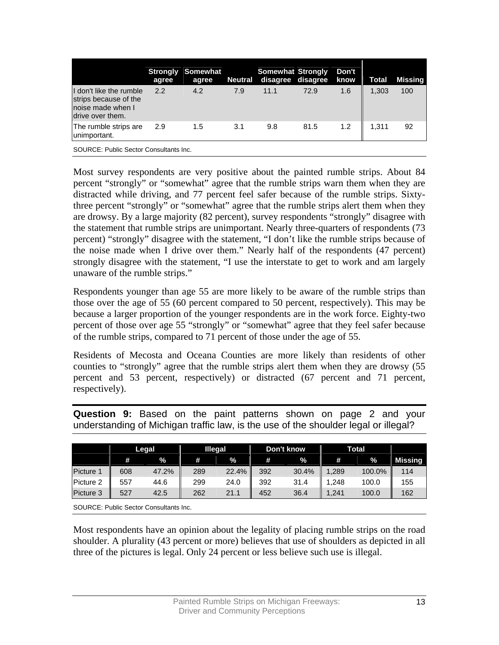|                                                                                           | agree | <b>Strongly Somewhat</b><br>agree |     | <b>Somewhat Strongly</b><br>Neutral disagree disagree |      | Don't<br>know | <b>Total</b> | <b>Missing</b> |
|-------------------------------------------------------------------------------------------|-------|-----------------------------------|-----|-------------------------------------------------------|------|---------------|--------------|----------------|
| I don't like the rumble<br>strips because of the<br>noise made when I<br>drive over them. | 2.2   | 4.2                               | 7.9 | 11.1                                                  | 72.9 | 1.6           | 1.303        | 100            |
| The rumble strips are<br>unimportant.                                                     | 2.9   | 1.5                               | 3.1 | 9.8                                                   | 81.5 | 1.2           | 1.311        | 92             |
|                                                                                           |       |                                   |     |                                                       |      |               |              |                |

SOURCE: Public Sector Consultants Inc.

Most survey respondents are very positive about the painted rumble strips. About 84 percent "strongly" or "somewhat" agree that the rumble strips warn them when they are distracted while driving, and 77 percent feel safer because of the rumble strips. Sixtythree percent "strongly" or "somewhat" agree that the rumble strips alert them when they are drowsy. By a large majority (82 percent), survey respondents "strongly" disagree with the statement that rumble strips are unimportant. Nearly three-quarters of respondents (73 percent) "strongly" disagree with the statement, "I don't like the rumble strips because of the noise made when I drive over them." Nearly half of the respondents (47 percent) strongly disagree with the statement, "I use the interstate to get to work and am largely unaware of the rumble strips."

Respondents younger than age 55 are more likely to be aware of the rumble strips than those over the age of 55 (60 percent compared to 50 percent, respectively). This may be because a larger proportion of the younger respondents are in the work force. Eighty-two percent of those over age 55 "strongly" or "somewhat" agree that they feel safer because of the rumble strips, compared to 71 percent of those under the age of 55.

Residents of Mecosta and Oceana Counties are more likely than residents of other counties to "strongly" agree that the rumble strips alert them when they are drowsy (55 percent and 53 percent, respectively) or distracted (67 percent and 71 percent, respectively).

|           |     | Legal | <b>Illegal</b> |       | Don't know |       | Total |        |         |
|-----------|-----|-------|----------------|-------|------------|-------|-------|--------|---------|
|           | #   | %     | #              | %     | #          | $\%$  | #     | %      | Missing |
| Picture 1 | 608 | 47.2% | 289            | 22.4% | 392        | 30.4% | ,289  | 100.0% | 114     |
| Picture 2 | 557 | 44.6  | 299            | 24.0  | 392        | 31.4  | .248  | 100.0  | 155     |
| Picture 3 | 527 | 42.5  | 262            | 21.1  | 452        | 36.4  | ,241  | 100.0  | 162     |

**Question 9:** Based on the paint patterns shown on page 2 and your understanding of Michigan traffic law, is the use of the shoulder legal or illegal?

SOURCE: Public Sector Consultants Inc.

Most respondents have an opinion about the legality of placing rumble strips on the road shoulder. A plurality (43 percent or more) believes that use of shoulders as depicted in all three of the pictures is legal. Only 24 percent or less believe such use is illegal.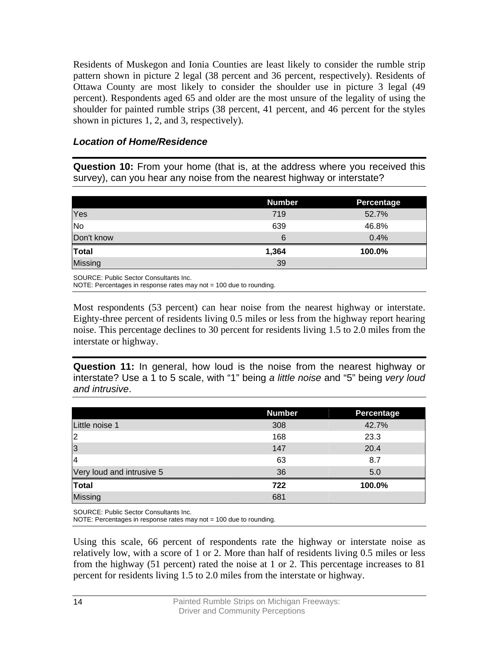Residents of Muskegon and Ionia Counties are least likely to consider the rumble strip pattern shown in picture 2 legal (38 percent and 36 percent, respectively). Residents of Ottawa County are most likely to consider the shoulder use in picture 3 legal (49 percent). Respondents aged 65 and older are the most unsure of the legality of using the shoulder for painted rumble strips (38 percent, 41 percent, and 46 percent for the styles shown in pictures 1, 2, and 3, respectively).

### *Location of Home/Residence*

**Question 10:** From your home (that is, at the address where you received this survey), can you hear any noise from the nearest highway or interstate?

|                | <b>Number</b> | <b>Percentage</b> |
|----------------|---------------|-------------------|
| Yes            | 719           | 52.7%             |
| No             | 639           | 46.8%             |
| Don't know     | 6             | 0.4%              |
| Total          | 1,364         | 100.0%            |
| <b>Missing</b> | 39            |                   |

SOURCE: Public Sector Consultants Inc.

NOTE: Percentages in response rates may not = 100 due to rounding.

Most respondents (53 percent) can hear noise from the nearest highway or interstate. Eighty-three percent of residents living 0.5 miles or less from the highway report hearing noise. This percentage declines to 30 percent for residents living 1.5 to 2.0 miles from the interstate or highway.

**Question 11:** In general, how loud is the noise from the nearest highway or interstate? Use a 1 to 5 scale, with "1" being *a little noise* and "5" being *very loud and intrusive*.

|                           | <b>Number</b> | Percentage |
|---------------------------|---------------|------------|
| Little noise 1            | 308           | 42.7%      |
| $\overline{2}$            | 168           | 23.3       |
| 3                         | 147           | 20.4       |
| 14                        | 63            | 8.7        |
| Very loud and intrusive 5 | 36            | 5.0        |
| <b>Total</b>              | 722           | 100.0%     |
| Missing                   | 681           |            |

SOURCE: Public Sector Consultants Inc.

NOTE: Percentages in response rates may not = 100 due to rounding.

Using this scale, 66 percent of respondents rate the highway or interstate noise as relatively low, with a score of 1 or 2. More than half of residents living 0.5 miles or less from the highway (51 percent) rated the noise at 1 or 2. This percentage increases to 81 percent for residents living 1.5 to 2.0 miles from the interstate or highway.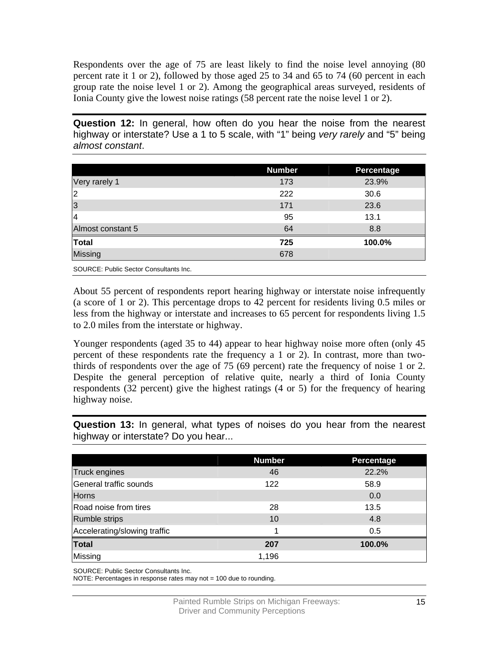Respondents over the age of 75 are least likely to find the noise level annoying (80 percent rate it 1 or 2), followed by those aged 25 to 34 and 65 to 74 (60 percent in each group rate the noise level 1 or 2). Among the geographical areas surveyed, residents of Ionia County give the lowest noise ratings (58 percent rate the noise level 1 or 2).

**Question 12:** In general, how often do you hear the noise from the nearest highway or interstate? Use a 1 to 5 scale, with "1" being *very rarely* and "5" being *almost constant*.

|                                        | <b>Number</b> | Percentage |
|----------------------------------------|---------------|------------|
| Very rarely 1                          | 173           | 23.9%      |
| 2                                      | 222           | 30.6       |
| 3                                      | 171           | 23.6       |
| 14                                     | 95            | 13.1       |
| Almost constant 5                      | 64            | 8.8        |
| <b>Total</b>                           | 725           | 100.0%     |
| Missing                                | 678           |            |
| SOURCE: Public Sector Consultants Inc. |               |            |

About 55 percent of respondents report hearing highway or interstate noise infrequently (a score of 1 or 2). This percentage drops to 42 percent for residents living 0.5 miles or less from the highway or interstate and increases to 65 percent for respondents living 1.5 to 2.0 miles from the interstate or highway.

Younger respondents (aged 35 to 44) appear to hear highway noise more often (only 45 percent of these respondents rate the frequency a 1 or 2). In contrast, more than twothirds of respondents over the age of 75 (69 percent) rate the frequency of noise 1 or 2. Despite the general perception of relative quite, nearly a third of Ionia County respondents (32 percent) give the highest ratings (4 or 5) for the frequency of hearing highway noise.

**Question 13:** In general, what types of noises do you hear from the nearest highway or interstate? Do you hear...

|                              | <b>Number</b> | Percentage |
|------------------------------|---------------|------------|
| Truck engines                | 46            | 22.2%      |
| General traffic sounds       | 122           | 58.9       |
| <b>Horns</b>                 |               | 0.0        |
| Road noise from tires        | 28            | 13.5       |
| <b>Rumble strips</b>         | 10            | 4.8        |
| Accelerating/slowing traffic |               | 0.5        |
| <b>Total</b>                 | 207           | 100.0%     |
| Missing                      | 1,196         |            |

SOURCE: Public Sector Consultants Inc.

NOTE: Percentages in response rates may not = 100 due to rounding.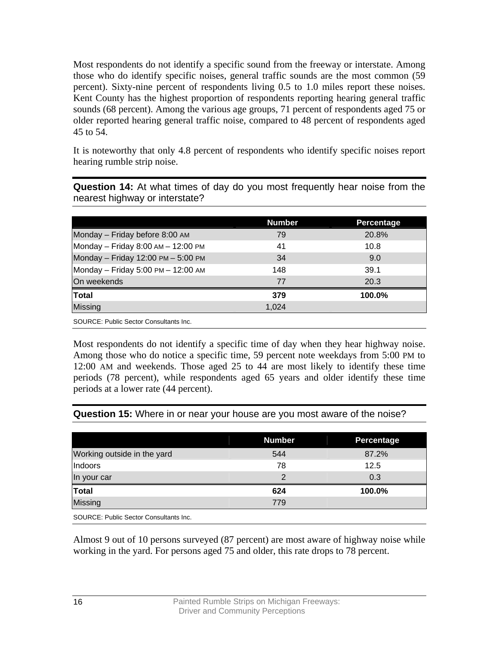Most respondents do not identify a specific sound from the freeway or interstate. Among those who do identify specific noises, general traffic sounds are the most common (59 percent). Sixty-nine percent of respondents living 0.5 to 1.0 miles report these noises. Kent County has the highest proportion of respondents reporting hearing general traffic sounds (68 percent). Among the various age groups, 71 percent of respondents aged 75 or older reported hearing general traffic noise, compared to 48 percent of respondents aged 45 to 54.

It is noteworthy that only 4.8 percent of respondents who identify specific noises report hearing rumble strip noise.

**Question 14:** At what times of day do you most frequently hear noise from the nearest highway or interstate?

|                                        | <b>Number</b> | Percentage |
|----------------------------------------|---------------|------------|
| Monday - Friday before 8:00 AM         | 79            | 20.8%      |
| Monday - Friday 8:00 AM - 12:00 PM     | 41            | 10.8       |
| Monday - Friday 12:00 PM - 5:00 PM     | 34            | 9.0        |
| Monday - Friday 5:00 PM - 12:00 AM     | 148           | 39.1       |
| On weekends                            | 77            | 20.3       |
| Total                                  | 379           | 100.0%     |
| <b>Missing</b>                         | 1,024         |            |
| SOURCE: Public Sector Consultants Inc. |               |            |

Most respondents do not identify a specific time of day when they hear highway noise. Among those who do notice a specific time, 59 percent note weekdays from 5:00 PM to 12:00 AM and weekends. Those aged 25 to 44 are most likely to identify these time periods (78 percent), while respondents aged 65 years and older identify these time periods at a lower rate (44 percent).

**Question 15:** Where in or near your house are you most aware of the noise?

|                             | <b>Number</b> | <b>Percentage</b> |
|-----------------------------|---------------|-------------------|
| Working outside in the yard | 544           | 87.2%             |
| Indoors                     | 78            | 12.5              |
| In your car                 | 2             | 0.3               |
| Total                       | 624           | 100.0%            |
| Missing                     | 779           |                   |
|                             |               |                   |

SOURCE: Public Sector Consultants Inc.

Almost 9 out of 10 persons surveyed (87 percent) are most aware of highway noise while working in the yard. For persons aged 75 and older, this rate drops to 78 percent.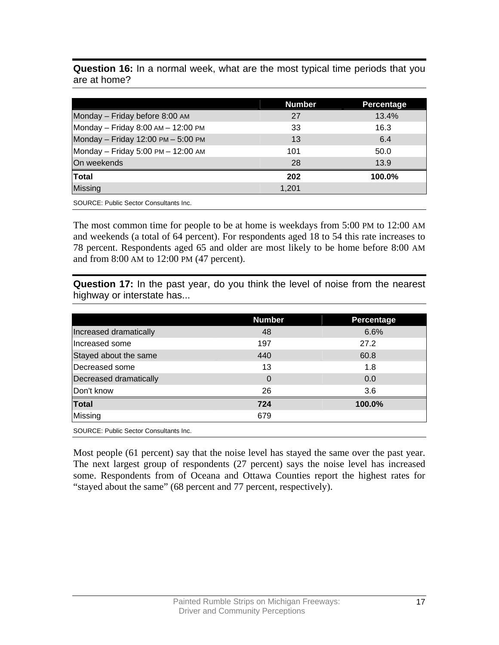**Question 16:** In a normal week, what are the most typical time periods that you are at home?

|                                    | <b>Number</b> | Percentage |
|------------------------------------|---------------|------------|
| Monday - Friday before 8:00 AM     | 27            | 13.4%      |
| Monday - Friday 8:00 AM - 12:00 PM | 33            | 16.3       |
| Monday - Friday 12:00 PM - 5:00 PM | 13            | 6.4        |
| Monday - Friday 5:00 PM - 12:00 AM | 101           | 50.0       |
| On weekends                        | 28            | 13.9       |
| Total                              | 202           | 100.0%     |
| <b>Missing</b>                     | 1,201         |            |

SOURCE: Public Sector Consultants Inc.

The most common time for people to be at home is weekdays from 5:00 PM to 12:00 AM and weekends (a total of 64 percent). For respondents aged 18 to 54 this rate increases to 78 percent. Respondents aged 65 and older are most likely to be home before 8:00 AM and from 8:00 AM to 12:00 PM (47 percent).

**Question 17:** In the past year, do you think the level of noise from the nearest highway or interstate has...

|                                        | <b>Number</b> | Percentage |
|----------------------------------------|---------------|------------|
| Increased dramatically                 | 48            | 6.6%       |
| Increased some                         | 197           | 27.2       |
| Stayed about the same                  | 440           | 60.8       |
| Decreased some                         | 13            | 1.8        |
| Decreased dramatically                 | 0             | 0.0        |
| Don't know                             | 26            | 3.6        |
| <b>Total</b>                           | 724           | 100.0%     |
| Missing                                | 679           |            |
| SOURCE: Public Sector Consultants Inc. |               |            |

Most people (61 percent) say that the noise level has stayed the same over the past year. The next largest group of respondents (27 percent) says the noise level has increased some. Respondents from of Oceana and Ottawa Counties report the highest rates for "stayed about the same" (68 percent and 77 percent, respectively).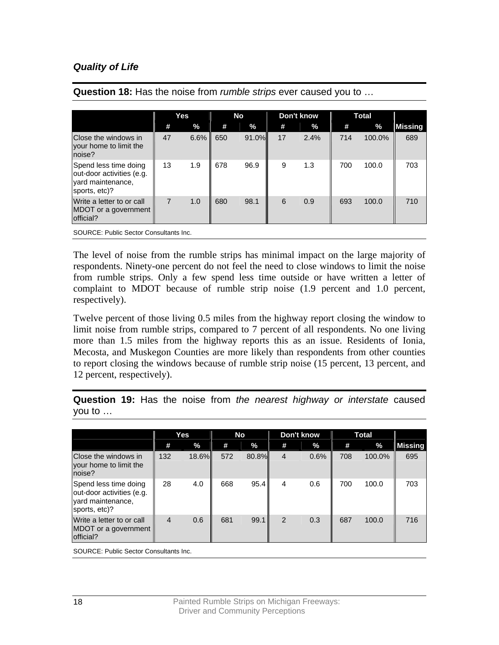### *Quality of Life*

|                                                                                          |                | Yes     | <b>No</b> |       | Don't know |      | <b>Total</b> |        |                |
|------------------------------------------------------------------------------------------|----------------|---------|-----------|-------|------------|------|--------------|--------|----------------|
|                                                                                          | #              | %       | #         | $\%$  | #          | %    | #            | $\%$   | <b>Missing</b> |
| Close the windows in<br>your home to limit the<br>noise?                                 | 47             | $6.6\%$ | 650       | 91.0% | 17         | 2.4% | 714          | 100.0% | 689            |
| Spend less time doing<br>out-door activities (e.g.<br>yard maintenance,<br>sports, etc)? | 13             | 1.9     | 678       | 96.9  | 9          | 1.3  | 700          | 100.0  | 703            |
| Write a letter to or call<br>MDOT or a government<br>official?                           | $\overline{7}$ | 1.0     | 680       | 98.1  | 6          | 0.9  | 693          | 100.0  | 710            |

**Question 18:** Has the noise from *rumble strips* ever caused you to …

SOURCE: Public Sector Consultants Inc.

The level of noise from the rumble strips has minimal impact on the large majority of respondents. Ninety-one percent do not feel the need to close windows to limit the noise from rumble strips. Only a few spend less time outside or have written a letter of complaint to MDOT because of rumble strip noise (1.9 percent and 1.0 percent, respectively).

Twelve percent of those living 0.5 miles from the highway report closing the window to limit noise from rumble strips, compared to 7 percent of all respondents. No one living more than 1.5 miles from the highway reports this as an issue. Residents of Ionia, Mecosta, and Muskegon Counties are more likely than respondents from other counties to report closing the windows because of rumble strip noise (15 percent, 13 percent, and 12 percent, respectively).

|                                                                                          | Yes            |               | No  |       | Don't know     |      | <b>Total</b> |        |                |
|------------------------------------------------------------------------------------------|----------------|---------------|-----|-------|----------------|------|--------------|--------|----------------|
|                                                                                          | #              | $\frac{9}{6}$ | #   | $\%$  | #              | $\%$ | #            | $\%$   | <b>Missing</b> |
| Close the windows in<br>your home to limit the<br>noise?                                 | 132            | $18.6\%$      | 572 | 80.8% | $\overline{4}$ | 0.6% | 708          | 100.0% | 695            |
| Spend less time doing<br>out-door activities (e.g.<br>vard maintenance,<br>sports, etc)? | 28             | 4.0           | 668 | 95.4  | 4              | 0.6  | 700          | 100.0  | 703            |
| Write a letter to or call<br>MDOT or a government<br>official?                           | $\overline{4}$ | 0.6           | 681 | 99.1  | 2              | 0.3  | 687          | 100.0  | 716            |

**Question 19:** Has the noise from *the nearest highway or interstate* caused you to …

SOURCE: Public Sector Consultants Inc.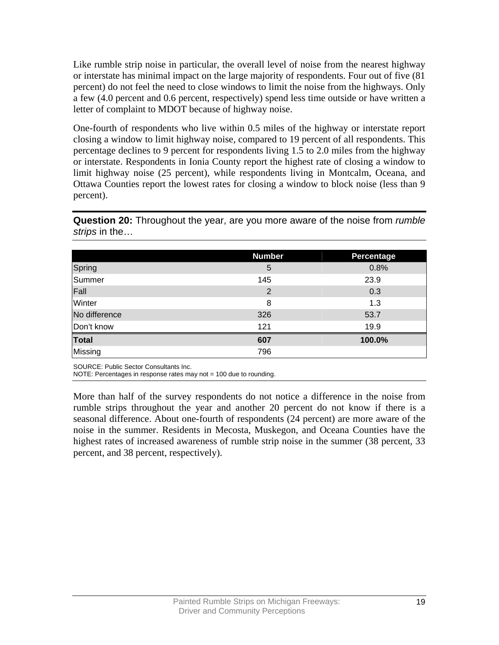Like rumble strip noise in particular, the overall level of noise from the nearest highway or interstate has minimal impact on the large majority of respondents. Four out of five (81 percent) do not feel the need to close windows to limit the noise from the highways. Only a few (4.0 percent and 0.6 percent, respectively) spend less time outside or have written a letter of complaint to MDOT because of highway noise.

One-fourth of respondents who live within 0.5 miles of the highway or interstate report closing a window to limit highway noise, compared to 19 percent of all respondents. This percentage declines to 9 percent for respondents living 1.5 to 2.0 miles from the highway or interstate. Respondents in Ionia County report the highest rate of closing a window to limit highway noise (25 percent), while respondents living in Montcalm, Oceana, and Ottawa Counties report the lowest rates for closing a window to block noise (less than 9 percent).

**Question 20:** Throughout the year, are you more aware of the noise from *rumble strips* in the…

|               | <b>Number</b> | <b>Percentage</b> |
|---------------|---------------|-------------------|
| Spring        | 5             | 0.8%              |
| Summer        | 145           | 23.9              |
| Fall          | 2             | 0.3               |
| Winter        | 8             | 1.3               |
| No difference | 326           | 53.7              |
| Don't know    | 121           | 19.9              |
| <b>Total</b>  | 607           | 100.0%            |
| Missing       | 796           |                   |

SOURCE: Public Sector Consultants Inc.

NOTE: Percentages in response rates may not = 100 due to rounding.

More than half of the survey respondents do not notice a difference in the noise from rumble strips throughout the year and another 20 percent do not know if there is a seasonal difference. About one-fourth of respondents (24 percent) are more aware of the noise in the summer. Residents in Mecosta, Muskegon, and Oceana Counties have the highest rates of increased awareness of rumble strip noise in the summer (38 percent, 33 percent, and 38 percent, respectively).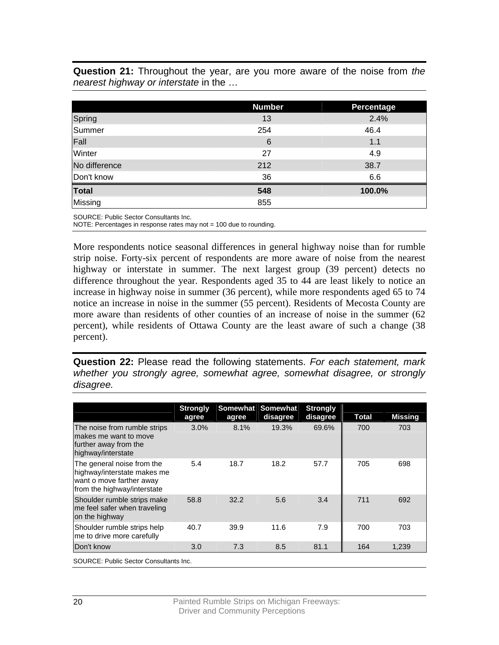**Question 21:** Throughout the year, are you more aware of the noise from *the nearest highway or interstate* in the …

|               | <b>Number</b> | Percentage |
|---------------|---------------|------------|
| Spring        | 13            | 2.4%       |
| Summer        | 254           | 46.4       |
| Fall          | 6             | 1.1        |
| Winter        | 27            | 4.9        |
| No difference | 212           | 38.7       |
| Don't know    | 36            | 6.6        |
| <b>Total</b>  | 548           | 100.0%     |
| Missing       | 855           |            |

SOURCE: Public Sector Consultants Inc.

NOTE: Percentages in response rates may not = 100 due to rounding.

More respondents notice seasonal differences in general highway noise than for rumble strip noise. Forty-six percent of respondents are more aware of noise from the nearest highway or interstate in summer. The next largest group (39 percent) detects no difference throughout the year. Respondents aged 35 to 44 are least likely to notice an increase in highway noise in summer (36 percent), while more respondents aged 65 to 74 notice an increase in noise in the summer (55 percent). Residents of Mecosta County are more aware than residents of other counties of an increase of noise in the summer (62 percent), while residents of Ottawa County are the least aware of such a change (38 percent).

**Question 22:** Please read the following statements. *For each statement, mark whether you strongly agree, somewhat agree, somewhat disagree, or strongly disagree.*

|                                                                                                                      | <b>Strongly</b><br>agree | agree | Somewhat Somewhat<br>disagree | <b>Strongly</b><br>disagree | Total | <b>Missing</b> |
|----------------------------------------------------------------------------------------------------------------------|--------------------------|-------|-------------------------------|-----------------------------|-------|----------------|
| The noise from rumble strips<br>lmakes me want to move<br>further away from the<br>highway/interstate                | 3.0%                     | 8.1%  | 19.3%                         | 69.6%                       | 700   | 703            |
| The general noise from the<br>highway/interstate makes me<br>want o move farther away<br>from the highway/interstate | 5.4                      | 18.7  | 18.2                          | 57.7                        | 705   | 698            |
| Shoulder rumble strips make<br>me feel safer when traveling<br>on the highway                                        | 58.8                     | 32.2  | 5.6                           | 3.4                         | 711   | 692            |
| Shoulder rumble strips help<br>me to drive more carefully                                                            | 40.7                     | 39.9  | 11.6                          | 7.9                         | 700   | 703            |
| Don't know                                                                                                           | 3.0                      | 7.3   | 8.5                           | 81.1                        | 164   | 1,239          |
| SOURCE: Public Sector Consultants Inc.                                                                               |                          |       |                               |                             |       |                |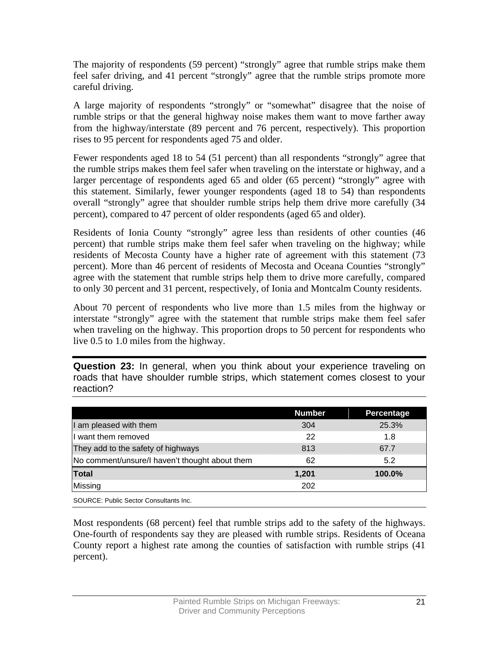The majority of respondents (59 percent) "strongly" agree that rumble strips make them feel safer driving, and 41 percent "strongly" agree that the rumble strips promote more careful driving.

A large majority of respondents "strongly" or "somewhat" disagree that the noise of rumble strips or that the general highway noise makes them want to move farther away from the highway/interstate (89 percent and 76 percent, respectively). This proportion rises to 95 percent for respondents aged 75 and older.

Fewer respondents aged 18 to 54 (51 percent) than all respondents "strongly" agree that the rumble strips makes them feel safer when traveling on the interstate or highway, and a larger percentage of respondents aged 65 and older (65 percent) "strongly" agree with this statement. Similarly, fewer younger respondents (aged 18 to 54) than respondents overall "strongly" agree that shoulder rumble strips help them drive more carefully (34 percent), compared to 47 percent of older respondents (aged 65 and older).

Residents of Ionia County "strongly" agree less than residents of other counties (46 percent) that rumble strips make them feel safer when traveling on the highway; while residents of Mecosta County have a higher rate of agreement with this statement (73 percent). More than 46 percent of residents of Mecosta and Oceana Counties "strongly" agree with the statement that rumble strips help them to drive more carefully, compared to only 30 percent and 31 percent, respectively, of Ionia and Montcalm County residents.

About 70 percent of respondents who live more than 1.5 miles from the highway or interstate "strongly" agree with the statement that rumble strips make them feel safer when traveling on the highway. This proportion drops to 50 percent for respondents who live 0.5 to 1.0 miles from the highway.

**Question 23:** In general, when you think about your experience traveling on roads that have shoulder rumble strips, which statement comes closest to your reaction?

|                                                | <b>Number</b> | Percentage |
|------------------------------------------------|---------------|------------|
| I am pleased with them                         | 304           | 25.3%      |
| I want them removed                            | 22            | 1.8        |
| They add to the safety of highways             | 813           | 67.7       |
| No comment/unsure/I haven't thought about them | 62            | 5.2        |
| <b>Total</b>                                   | 1,201         | 100.0%     |
| Missing                                        | 202           |            |
| SOURCE: Public Sector Consultants Inc.         |               |            |

Most respondents (68 percent) feel that rumble strips add to the safety of the highways. One-fourth of respondents say they are pleased with rumble strips. Residents of Oceana County report a highest rate among the counties of satisfaction with rumble strips (41 percent).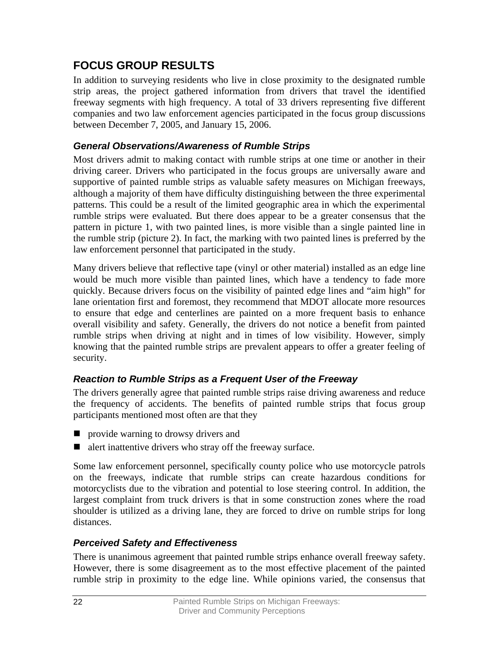## <span id="page-25-0"></span>**FOCUS GROUP RESULTS**

In addition to surveying residents who live in close proximity to the designated rumble strip areas, the project gathered information from drivers that travel the identified freeway segments with high frequency. A total of 33 drivers representing five different companies and two law enforcement agencies participated in the focus group discussions between December 7, 2005, and January 15, 2006.

### *General Observations/Awareness of Rumble Strips*

Most drivers admit to making contact with rumble strips at one time or another in their driving career. Drivers who participated in the focus groups are universally aware and supportive of painted rumble strips as valuable safety measures on Michigan freeways, although a majority of them have difficulty distinguishing between the three experimental patterns. This could be a result of the limited geographic area in which the experimental rumble strips were evaluated. But there does appear to be a greater consensus that the pattern in picture 1, with two painted lines, is more visible than a single painted line in the rumble strip (picture 2). In fact, the marking with two painted lines is preferred by the law enforcement personnel that participated in the study.

Many drivers believe that reflective tape (vinyl or other material) installed as an edge line would be much more visible than painted lines, which have a tendency to fade more quickly. Because drivers focus on the visibility of painted edge lines and "aim high" for lane orientation first and foremost, they recommend that MDOT allocate more resources to ensure that edge and centerlines are painted on a more frequent basis to enhance overall visibility and safety. Generally, the drivers do not notice a benefit from painted rumble strips when driving at night and in times of low visibility. However, simply knowing that the painted rumble strips are prevalent appears to offer a greater feeling of security.

## *Reaction to Rumble Strips as a Frequent User of the Freeway*

The drivers generally agree that painted rumble strips raise driving awareness and reduce the frequency of accidents. The benefits of painted rumble strips that focus group participants mentioned most often are that they

- **P** provide warning to drows drivers and
- $\blacksquare$  alert inattentive drivers who stray off the freeway surface.

Some law enforcement personnel, specifically county police who use motorcycle patrols on the freeways, indicate that rumble strips can create hazardous conditions for motorcyclists due to the vibration and potential to lose steering control. In addition, the largest complaint from truck drivers is that in some construction zones where the road shoulder is utilized as a driving lane, they are forced to drive on rumble strips for long distances.

## *Perceived Safety and Effectiveness*

There is unanimous agreement that painted rumble strips enhance overall freeway safety. However, there is some disagreement as to the most effective placement of the painted rumble strip in proximity to the edge line. While opinions varied, the consensus that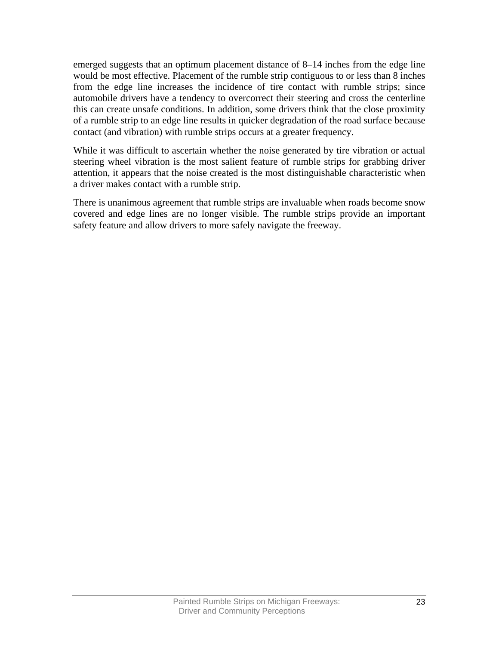emerged suggests that an optimum placement distance of 8–14 inches from the edge line would be most effective. Placement of the rumble strip contiguous to or less than 8 inches from the edge line increases the incidence of tire contact with rumble strips; since automobile drivers have a tendency to overcorrect their steering and cross the centerline this can create unsafe conditions. In addition, some drivers think that the close proximity of a rumble strip to an edge line results in quicker degradation of the road surface because contact (and vibration) with rumble strips occurs at a greater frequency.

While it was difficult to ascertain whether the noise generated by tire vibration or actual steering wheel vibration is the most salient feature of rumble strips for grabbing driver attention, it appears that the noise created is the most distinguishable characteristic when a driver makes contact with a rumble strip.

There is unanimous agreement that rumble strips are invaluable when roads become snow covered and edge lines are no longer visible. The rumble strips provide an important safety feature and allow drivers to more safely navigate the freeway.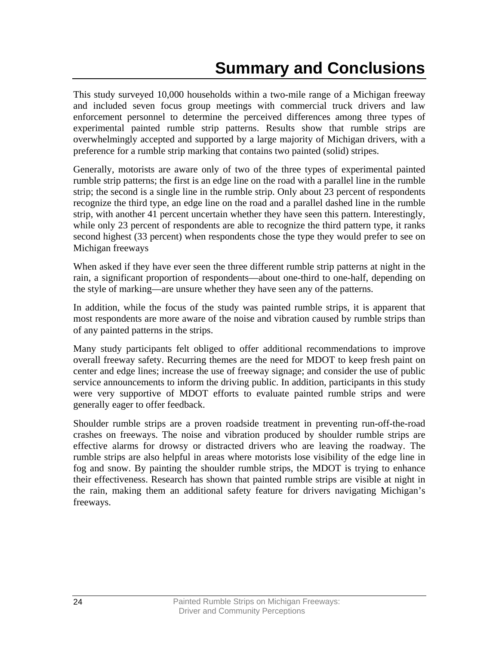# **Summary and Conclusions**

<span id="page-27-0"></span>This study surveyed 10,000 households within a two-mile range of a Michigan freeway and included seven focus group meetings with commercial truck drivers and law enforcement personnel to determine the perceived differences among three types of experimental painted rumble strip patterns. Results show that rumble strips are overwhelmingly accepted and supported by a large majority of Michigan drivers, with a preference for a rumble strip marking that contains two painted (solid) stripes.

Generally, motorists are aware only of two of the three types of experimental painted rumble strip patterns; the first is an edge line on the road with a parallel line in the rumble strip; the second is a single line in the rumble strip. Only about 23 percent of respondents recognize the third type, an edge line on the road and a parallel dashed line in the rumble strip, with another 41 percent uncertain whether they have seen this pattern. Interestingly, while only 23 percent of respondents are able to recognize the third pattern type, it ranks second highest (33 percent) when respondents chose the type they would prefer to see on Michigan freeways

When asked if they have ever seen the three different rumble strip patterns at night in the rain, a significant proportion of respondents—about one-third to one-half, depending on the style of marking—are unsure whether they have seen any of the patterns.

In addition, while the focus of the study was painted rumble strips, it is apparent that most respondents are more aware of the noise and vibration caused by rumble strips than of any painted patterns in the strips.

Many study participants felt obliged to offer additional recommendations to improve overall freeway safety. Recurring themes are the need for MDOT to keep fresh paint on center and edge lines; increase the use of freeway signage; and consider the use of public service announcements to inform the driving public. In addition, participants in this study were very supportive of MDOT efforts to evaluate painted rumble strips and were generally eager to offer feedback.

Shoulder rumble strips are a proven roadside treatment in preventing run-off-the-road crashes on freeways. The noise and vibration produced by shoulder rumble strips are effective alarms for drowsy or distracted drivers who are leaving the roadway. The rumble strips are also helpful in areas where motorists lose visibility of the edge line in fog and snow. By painting the shoulder rumble strips, the MDOT is trying to enhance their effectiveness. Research has shown that painted rumble strips are visible at night in the rain, making them an additional safety feature for drivers navigating Michigan's freeways.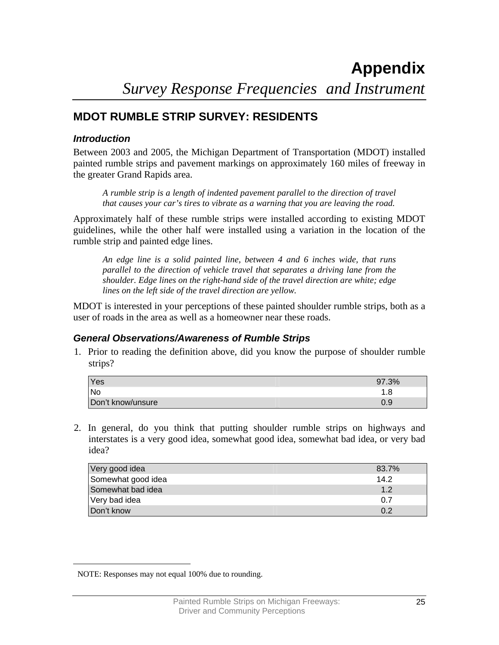## <span id="page-28-0"></span>**MDOT RUMBLE STRIP SURVEY: RESIDENTS**

### *Introduction*

Between 2003 and 2005, the Michigan Department of Transportation (MDOT) installed painted rumble strips and pavement markings on approximately 160 miles of freeway in the greater Grand Rapids area.

*A rumble strip is a length of indented pavement parallel to the direction of travel that causes your car's tires to vibrate as a warning that you are leaving the road.* 

Approximately half of these rumble strips were installed according to existing MDOT guidelines, while the other half were installed using a variation in the location of the rumble strip and painted edge lines.

*An edge line is a solid painted line, between 4 and 6 inches wide, that runs parallel to the direction of vehicle travel that separates a driving lane from the shoulder. Edge lines on the right-hand side of the travel direction are white; edge lines on the left side of the travel direction are yellow.* 

MDOT is interested in your perceptions of these painted shoulder rumble strips, both as a user of roads in the area as well as a homeowner near these roads.

### *General Observations/Awareness of Rumble Strips*

1. Prior to reading the definition above, did you know the purpose of shoulder rumble strips?

| Yes               | 97.3% |
|-------------------|-------|
| <b>No</b>         | .8    |
| Don't know/unsure | 0.9   |

2. In general, do you think that putting shoulder rumble strips on highways and interstates is a very good idea, somewhat good idea, somewhat bad idea, or very bad idea?

| Very good idea     | 83.7% |
|--------------------|-------|
| Somewhat good idea | 14.2  |
| Somewhat bad idea  | 12    |
| Very bad idea      | 0 7   |
| Don't know         | ሰ 2   |

<span id="page-28-1"></span> $\overline{a}$ 

NOTE: Responses may not equal 100% due to rounding.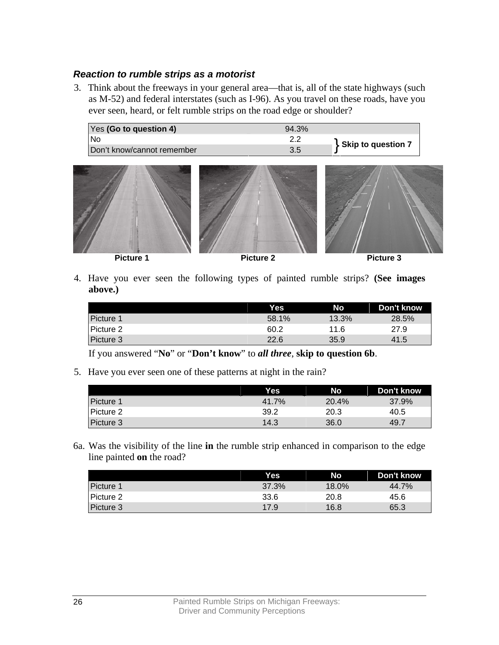### *Reaction to rumble strips as a motorist*

3. Think about the freeways in your general area—that is, all of the state highways (such as M-52) and federal interstates (such as I-96). As you travel on these roads, have you ever seen, heard, or felt rumble strips on the road edge or shoulder?

| Yes (Go to question 4)     | 94.3% |                    |
|----------------------------|-------|--------------------|
| Nc                         |       |                    |
| Don't know/cannot remember | 3.5   | Skip to question 7 |



4. Have you ever seen the following types of painted rumble strips? **(See images above.)**

|           | <b>Yes</b> | No    | Don't know |
|-----------|------------|-------|------------|
| Picture 1 | 58.1%      | 13.3% | 28.5%      |
| Picture 2 | 60.2       | 11.6  | 27.9       |
| Picture 3 | 22.6       | 35.9  | 41.5       |

If you answered "**No**" or "**Don't know**" to *all three*, **skip to question 6b**.

5. Have you ever seen one of these patterns at night in the rain?

|             | Yes   | No    | Don't know |
|-------------|-------|-------|------------|
| l Picture 1 | 41.7% | 20.4% | 37.9%      |
| Picture 2   | 39.2  | 20.3  | 40.5       |
| Picture 3   | 14.3  | 36.0  | 49.7       |

6a. Was the visibility of the line **in** the rumble strip enhanced in comparison to the edge line painted **on** the road?

|                  | Yes.  | No    | Don't know |
|------------------|-------|-------|------------|
| Picture 1        | 37.3% | 18.0% | 44.7%      |
| Picture 2        | 33.6  | 20.8  | 45.6       |
| <b>Picture 3</b> | 17.9  | 16.8  | 65.3       |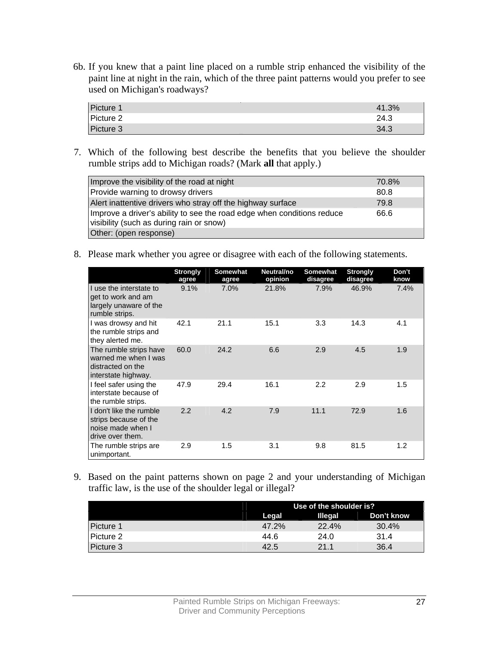6b. If you knew that a paint line placed on a rumble strip enhanced the visibility of the paint line at night in the rain, which of the three paint patterns would you prefer to see used on Michigan's roadways?

| Picture 1 | 41.3% |
|-----------|-------|
| Picture 2 | 24.3  |
| Picture 3 | 34.3  |

7. Which of the following best describe the benefits that you believe the shoulder rumble strips add to Michigan roads? (Mark **all** that apply.)

| Improve the visibility of the road at night                                                                        | 70.8% |
|--------------------------------------------------------------------------------------------------------------------|-------|
| Provide warning to drowsy drivers                                                                                  | 80.8  |
| Alert inattentive drivers who stray off the highway surface                                                        | 79.8  |
| Improve a driver's ability to see the road edge when conditions reduce<br>visibility (such as during rain or snow) | 66.6  |
| Other: (open response)                                                                                             |       |

8. Please mark whether you agree or disagree with each of the following statements.

|                                                                                            | <b>Strongly</b><br>agree | <b>Somewhat</b><br>agree | Neutral/no<br>opinion | Somewhat<br>disagree | <b>Strongly</b><br>disagree | Don't<br>know |
|--------------------------------------------------------------------------------------------|--------------------------|--------------------------|-----------------------|----------------------|-----------------------------|---------------|
| I use the interstate to<br>get to work and am<br>largely unaware of the<br>rumble strips.  | 9.1%                     | $7.0\%$                  | 21.8%                 | 7.9%                 | 46.9%                       | 7.4%          |
| I was drowsy and hit<br>the rumble strips and<br>they alerted me.                          | 42.1                     | 21.1                     | 15.1                  | 3.3                  | 14.3                        | 4.1           |
| The rumble strips have<br>warned me when I was<br>distracted on the<br>interstate highway. | 60.0                     | 24.2                     | 6.6                   | 2.9                  | 4.5                         | 1.9           |
| I feel safer using the<br>interstate because of<br>the rumble strips.                      | 47.9                     | 29.4                     | 16.1                  | 2.2                  | 2.9                         | 1.5           |
| I don't like the rumble<br>strips because of the<br>noise made when I<br>drive over them.  | 2.2                      | 4.2                      | 7.9                   | 11.1                 | 72.9                        | 1.6           |
| The rumble strips are<br>unimportant.                                                      | 2.9                      | 1.5                      | 3.1                   | 9.8                  | 81.5                        | 1.2           |

9. Based on the paint patterns shown on page 2 and your understanding of Michigan traffic law, is the use of the shoulder legal or illegal?

|           | Use of the shoulder is? |                |            |
|-----------|-------------------------|----------------|------------|
|           | Legal                   | <b>Illegal</b> | Don't know |
| Picture 1 | 47.2%                   | 22.4%          | $30.4\%$   |
| Picture 2 | 44.6                    | 24.0           | 31.4       |
| Picture 3 | 42.5                    | 21.1           | 36.4       |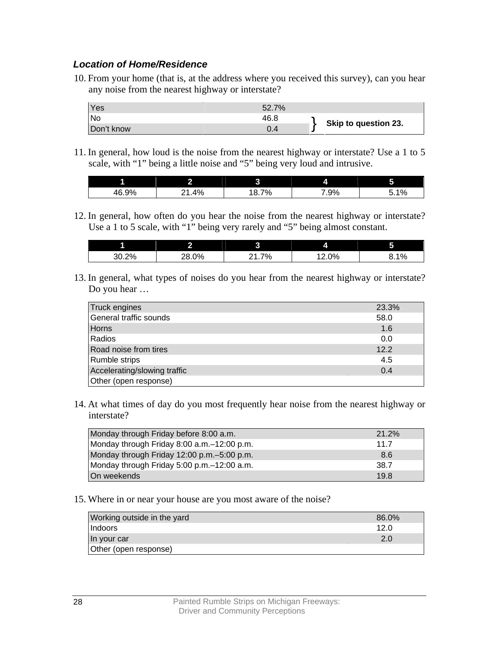### *Location of Home/Residence*

10. From your home (that is, at the address where you received this survey), can you hear any noise from the nearest highway or interstate?

| Yes        | 52.7% |                      |
|------------|-------|----------------------|
| <b>No</b>  | 46.8  |                      |
| Don't know | 0.4   | Skip to question 23. |

11. In general, how loud is the noise from the nearest highway or interstate? Use a 1 to 5 scale, with "1" being a little noise and "5" being very loud and intrusive.

|              | . . |                |     | -<br>. .       |
|--------------|-----|----------------|-----|----------------|
| 46.9%<br>AF. | 4%  | 70/<br>c<br>7٥ | .9% | 10/<br>-<br>7٥ |

12. In general, how often do you hear the noise from the nearest highway or interstate? Use a 1 to 5 scale, with "1" being very rarely and "5" being almost constant.

|       | ົ<br>74 | ⌒              | 4     | 5<br>u |
|-------|---------|----------------|-------|--------|
| 30.2% | 28.0%   | 7%<br><u>.</u> | .2.0% | 8.1%   |

13. In general, what types of noises do you hear from the nearest highway or interstate? Do you hear …

| Truck engines                | 23.3% |
|------------------------------|-------|
| General traffic sounds       | 58.0  |
| Horns                        | 1.6   |
| Radios                       | 0.0   |
| Road noise from tires        | 12.2  |
| Rumble strips                | 4.5   |
| Accelerating/slowing traffic | 0.4   |
| Other (open response)        |       |

14. At what times of day do you most frequently hear noise from the nearest highway or interstate?

| Monday through Friday before 8:00 a.m.      | 21.2% |
|---------------------------------------------|-------|
| Monday through Friday 8:00 a.m.–12:00 p.m.  | 11.7  |
| Monday through Friday 12:00 p.m. -5:00 p.m. | 8.6   |
| Monday through Friday 5:00 p.m. -12:00 a.m. | 38.7  |
| On weekends                                 | 19.8  |

15. Where in or near your house are you most aware of the noise?

| Working outside in the yard | 86.0% |
|-----------------------------|-------|
| <b>Indoors</b>              | 12.0  |
| In your car                 | 2.0   |
| Other (open response)       |       |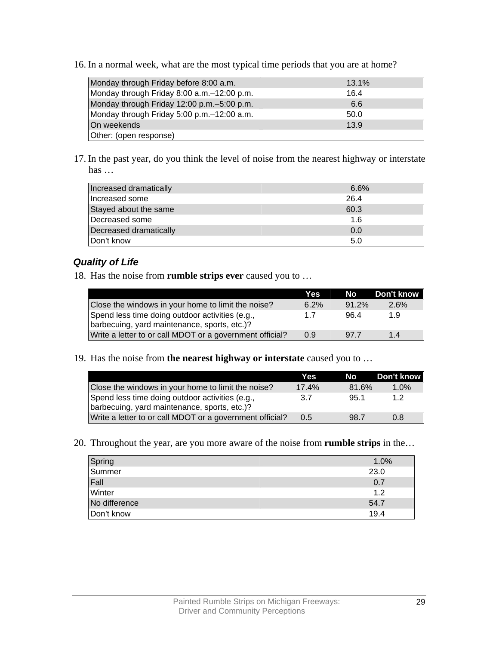16. In a normal week, what are the most typical time periods that you are at home?

| Monday through Friday before 8:00 a.m.       | 13.1% |
|----------------------------------------------|-------|
| Monday through Friday 8:00 a.m. -12:00 p.m.  | 16.4  |
| Monday through Friday 12:00 p.m. - 5:00 p.m. | 6.6   |
| Monday through Friday 5:00 p.m. -12:00 a.m.  | 50.0  |
| On weekends                                  | 13.9  |
| Other: (open response)                       |       |

17. In the past year, do you think the level of noise from the nearest highway or interstate has …

| Increased dramatically | 6.6% |
|------------------------|------|
| Increased some         | 26.4 |
| Stayed about the same  | 60.3 |
| Decreased some         | 1.6  |
| Decreased dramatically | 0.0  |
| Don't know             | 5.0  |

### *Quality of Life*

18. Has the noise from **rumble strips ever** caused you to …

|                                                                                                 | Yes  | No l     | Don't know |
|-------------------------------------------------------------------------------------------------|------|----------|------------|
| Close the windows in your home to limit the noise?                                              | 6.2% | $91.2\%$ | 2.6%       |
| Spend less time doing outdoor activities (e.g.,<br>barbecuing, yard maintenance, sports, etc.)? | 17   | 96.4     | 19         |
| Write a letter to or call MDOT or a government official?                                        | 0.9  | 97.7     | 14         |

19. Has the noise from **the nearest highway or interstate** caused you to …

|                                                                                                 | Yes   | No l  | Don't know |
|-------------------------------------------------------------------------------------------------|-------|-------|------------|
| Close the windows in your home to limit the noise?                                              | 17.4% | 81.6% | 1.0%       |
| Spend less time doing outdoor activities (e.g.,<br>barbecuing, yard maintenance, sports, etc.)? | 3.7   | 95.1  | 12         |
| Write a letter to or call MDOT or a government official?                                        | 0.5   | 98.7  | 0.8        |

20. Throughout the year, are you more aware of the noise from **rumble strips** in the…

| Spring<br>Summer | 1.0% |
|------------------|------|
|                  | 23.0 |
| Fall             | 0.7  |
| Winter           | 1.2  |
| No difference    | 54.7 |
| Don't know       | 19.4 |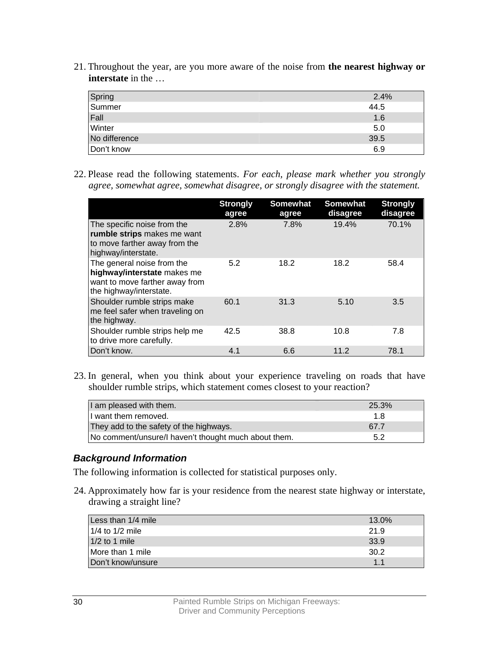21. Throughout the year, are you more aware of the noise from **the nearest highway or interstate** in the ...

| Spring        | 2.4% |
|---------------|------|
| Summer        | 44.5 |
| Fall          | 1.6  |
| Winter        | 5.0  |
| No difference | 39.5 |
| Don't know    | 6.9  |

22. Please read the following statements. *For each, please mark whether you strongly agree, somewhat agree, somewhat disagree, or strongly disagree with the statement.* 

|                                                                                                                        | <b>Strongly</b><br>agree | <b>Somewhat</b><br>agree | <b>Somewhat</b><br>disagree | <b>Strongly</b><br>disagree |
|------------------------------------------------------------------------------------------------------------------------|--------------------------|--------------------------|-----------------------------|-----------------------------|
| The specific noise from the<br>rumble strips makes me want<br>to move farther away from the<br>highway/interstate.     | 2.8%                     | 7.8%                     | 19.4%                       | 70.1%                       |
| The general noise from the<br>highway/interstate makes me<br>want to move farther away from<br>the highway/interstate. | 5.2                      | 18.2                     | 18.2                        | 58.4                        |
| Shoulder rumble strips make<br>me feel safer when traveling on<br>the highway.                                         | 60.1                     | 31.3                     | 5.10                        | 3.5                         |
| Shoulder rumble strips help me<br>to drive more carefully.                                                             | 42.5                     | 38.8                     | 10.8                        | 7.8                         |
| Don't know.                                                                                                            | 4.1                      | 6.6                      | 11.2                        | 78.1                        |

23. In general, when you think about your experience traveling on roads that have shoulder rumble strips, which statement comes closest to your reaction?

| I am pleased with them.                              | 25.3% |
|------------------------------------------------------|-------|
| II want them removed.                                | 18    |
| They add to the safety of the highways.              | 67.7  |
| No comment/unsure/I haven't thought much about them. | 52    |

#### *Background Information*

The following information is collected for statistical purposes only.

24. Approximately how far is your residence from the nearest state highway or interstate, drawing a straight line?

| Less than 1/4 mile  | 13.0% |
|---------------------|-------|
| $1/4$ to $1/2$ mile | 21.9  |
| $1/2$ to 1 mile     | 33.9  |
| More than 1 mile    | 30.2  |
| Don't know/unsure   | 11    |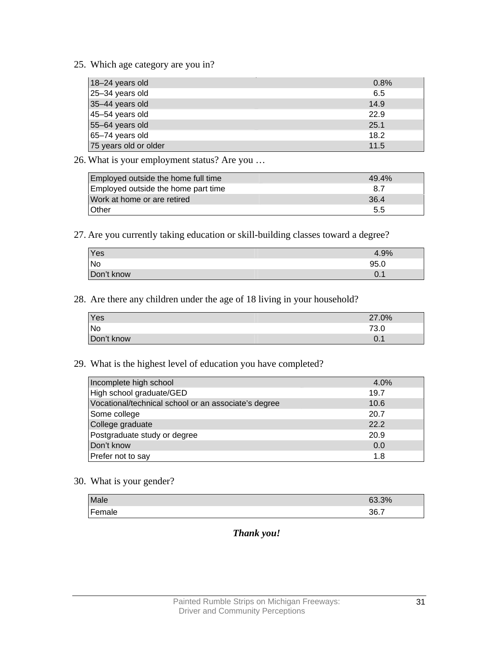25. Which age category are you in?

| 18-24 years old       | 0.8% |
|-----------------------|------|
| 25-34 years old       | 6.5  |
| 35-44 years old       | 14.9 |
| 45-54 years old       | 22.9 |
| 55-64 years old       | 25.1 |
| 65-74 years old       | 18.2 |
| 75 years old or older | 11.5 |

26. What is your employment status? Are you …

| Employed outside the home full time | 49.4% |
|-------------------------------------|-------|
| Employed outside the home part time | -8.7  |
| Work at home or are retired         | 36.4  |
| Other                               | 5.5   |

27. Are you currently taking education or skill-building classes toward a degree?

| Yes        | 4.9% |
|------------|------|
| <b>No</b>  | 95.0 |
| Don't know | v. 1 |

28. Are there any children under the age of 18 living in your household?

| Yes        | 27.0% |
|------------|-------|
| <b>No</b>  | 73.0  |
| Don't know | 0.1   |

### 29. What is the highest level of education you have completed?

| Incomplete high school                               | 4.0% |
|------------------------------------------------------|------|
| High school graduate/GED                             | 19.7 |
| Vocational/technical school or an associate's degree | 10.6 |
| Some college                                         | 20.7 |
| College graduate                                     | 22.2 |
| Postgraduate study or degree                         | 20.9 |
| Don't know                                           | 0.0  |
| Prefer not to say                                    | 1.8  |

## 30. What is your gender?

| Male         | 63.3% |
|--------------|-------|
| Fema<br>ale. | 36.7  |

#### *Thank you!*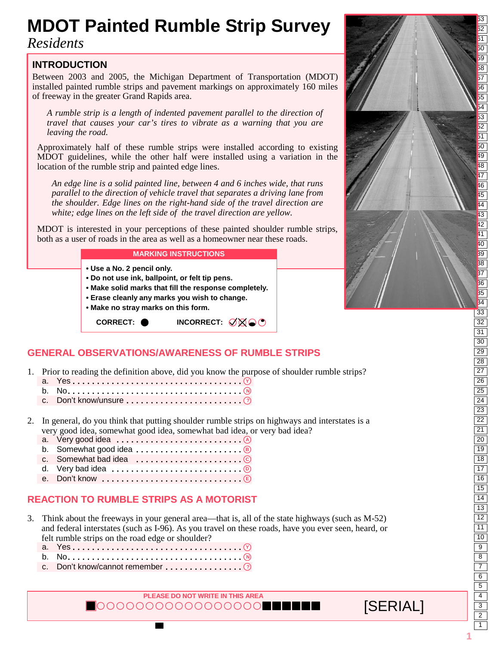# <sup>63</sup> **MDOT Painted Rumble Strip Survey**

*Residents*

### **INTRODUCTION**

Between 2003 and 2005, the Michigan Department of Transportation (MDOT) installed painted rumble strips and pavement markings on approximately 160 miles of freeway in the greater Grand Rapids area.

*A rumble strip is a length of indented pavement parallel to the direction of travel that causes your car's tires to vibrate as a warning that you are leaving the road.* 

Approximately half of these rumble strips were installed according to existing MDOT guidelines, while the other half were installed using a variation in the location of the rumble strip and painted edge lines.

*An edge line is a solid painted line, between 4 and 6 inches wide, that runs parallel to the direction of vehicle travel that separates a driving lane from the shoulder. Edge lines on the right-hand side of the travel direction are white; edge lines on the left side of the travel direction are yellow.*

MDOT is interested in your perceptions of these painted shoulder rumble strips, both as a user of roads in the area as well as a homeowner near these roads.

#### **MARKING INSTRUCTIONS**

- **Use a No. 2 pencil only.**
- **Do not use ink, ballpoint, or felt tip pens.**
- **Make solid marks that fill the response completely.**
- **Erase cleanly any marks you wish to change.**
- **Make no stray marks on this form.**

**CORRECT: ● INCORRECT:** Ø⊠●●

## **GENERAL OBSERVATIONS/AWARENESS OF RUMBLE STRIPS**

- 1. Prior to reading the definition above, did you know the purpose of shoulder rumble strips?
- a. Yes **Y ...................................** b. No  **N ....................................**
- c. Don't know/unsure  **? ........................**
- 2. In general, do you think that putting shoulder rumble strips on highways and interstates is a very good idea, somewhat good idea, somewhat bad idea, or very bad idea?
- a. Very good idea **A ..........................**
- b. Somewhat good idea **B ......................**
- c. Somewhat bad idea **C ......................**
- d. Very bad idea **D ...........................**
- e. Don't know **E .............................**

### **REACTION TO RUMBLE STRIPS AS A MOTORIST**

- 3. Think about the freeways in your general area—that is, all of the state highways (such as M-52) and federal interstates (such as I-96). As you travel on these roads, have you ever seen, heard, or felt rumble strips on the road edge or shoulder?
- a. Yes **Y ...................................** b. No  **N ....................................**
- c. Don't know/cannot remember  **? ................**

**PLEASE DO NOT WRITE IN THIS AREA**  $\blacksquare$ 00000000000000000000



**[SERIAL]** 

1 2 3 4 5 6 7 8 9 10 11 12 13 14 15 16 17 18 19 20 21 22 23 24 25 26 27 28 29 30 31 32 33 34 35 36  $\overline{37}$ 38 39 40 41 42 43 44 45 46 47 48 49 50 51 52 53 54 55 56 57 58 59  $\overline{50}$  $\overline{51}$ **1**

 $\overline{52}$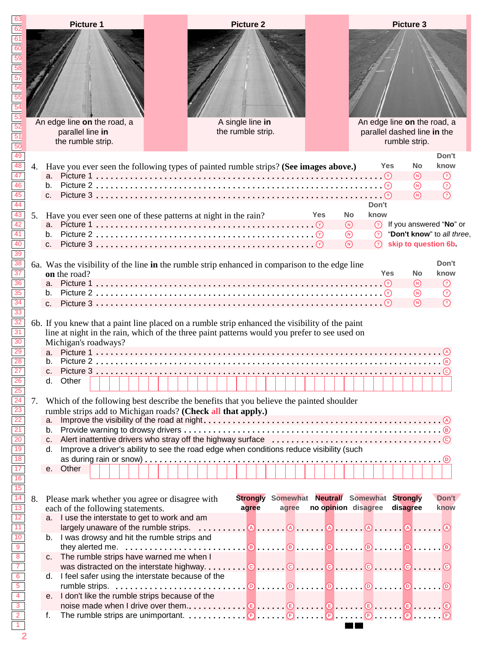|                                                                                                                  |    |         | <b>Picture 1</b>                                                                                                                                                                                |  |                   | <b>Picture 2</b>                             |       |     |                     |           |               |            | <b>Picture 3</b> |                        |                                  |  |
|------------------------------------------------------------------------------------------------------------------|----|---------|-------------------------------------------------------------------------------------------------------------------------------------------------------------------------------------------------|--|-------------------|----------------------------------------------|-------|-----|---------------------|-----------|---------------|------------|------------------|------------------------|----------------------------------|--|
|                                                                                                                  |    |         |                                                                                                                                                                                                 |  |                   |                                              |       |     |                     |           |               |            |                  |                        |                                  |  |
|                                                                                                                  |    |         |                                                                                                                                                                                                 |  |                   |                                              |       |     |                     |           |               |            |                  |                        |                                  |  |
|                                                                                                                  |    |         |                                                                                                                                                                                                 |  |                   |                                              |       |     |                     |           |               |            |                  |                        |                                  |  |
|                                                                                                                  |    |         |                                                                                                                                                                                                 |  |                   |                                              |       |     |                     |           |               |            |                  |                        |                                  |  |
|                                                                                                                  |    |         |                                                                                                                                                                                                 |  |                   |                                              |       |     |                     |           |               |            |                  |                        |                                  |  |
|                                                                                                                  |    |         |                                                                                                                                                                                                 |  |                   |                                              |       |     |                     |           |               |            |                  |                        |                                  |  |
|                                                                                                                  |    |         | An edge line on the road, a                                                                                                                                                                     |  | A single line in  |                                              |       |     |                     |           |               |            |                  |                        | An edge line on the road, a      |  |
|                                                                                                                  |    |         | parallel line in                                                                                                                                                                                |  | the rumble strip. |                                              |       |     |                     |           |               |            |                  |                        | parallel dashed line in the      |  |
|                                                                                                                  |    |         | the rumble strip.                                                                                                                                                                               |  |                   |                                              |       |     |                     |           |               |            | rumble strip.    |                        |                                  |  |
|                                                                                                                  |    |         |                                                                                                                                                                                                 |  |                   |                                              |       |     |                     |           |               |            |                  |                        | Don't                            |  |
|                                                                                                                  | 4. |         | Have you ever seen the following types of painted rumble strips? (See images above.)                                                                                                            |  |                   |                                              |       |     |                     |           |               | Yes        |                  | <b>No</b><br>(N)       | know<br>$\odot$                  |  |
|                                                                                                                  |    |         |                                                                                                                                                                                                 |  |                   |                                              |       |     |                     |           |               |            |                  | $^{\circledR}$         | $\odot$                          |  |
|                                                                                                                  |    |         |                                                                                                                                                                                                 |  |                   |                                              |       |     |                     |           |               |            |                  | $\bigcap$              | $\odot$                          |  |
|                                                                                                                  | 5. |         | Have you ever seen one of these patterns at night in the rain?                                                                                                                                  |  |                   |                                              |       | Yes |                     | <b>No</b> | Don't<br>know |            |                  |                        |                                  |  |
|                                                                                                                  |    |         |                                                                                                                                                                                                 |  |                   |                                              |       |     |                     | $\odot$   |               |            |                  |                        | <b>8</b> If you answered "No" or |  |
|                                                                                                                  |    |         |                                                                                                                                                                                                 |  |                   |                                              |       |     |                     | $\odot$   |               |            |                  |                        | "Don't know" to all three,       |  |
|                                                                                                                  |    |         |                                                                                                                                                                                                 |  |                   |                                              |       |     |                     | $\Omega$  | $\Omega$      |            |                  |                        | skip to question 6b.             |  |
|                                                                                                                  |    |         | 6a. Was the visibility of the line in the rumble strip enhanced in comparison to the edge line                                                                                                  |  |                   |                                              |       |     |                     |           |               |            |                  |                        | Don't                            |  |
|                                                                                                                  |    |         | on the road?                                                                                                                                                                                    |  |                   |                                              |       |     |                     |           |               | <b>Yes</b> |                  | <b>No</b>              | know                             |  |
|                                                                                                                  |    |         |                                                                                                                                                                                                 |  |                   |                                              |       |     |                     |           |               |            |                  | (N)<br>$^{\copyright}$ | $\odot$<br>$\odot$               |  |
|                                                                                                                  |    | $C_{n}$ |                                                                                                                                                                                                 |  |                   |                                              |       |     |                     |           |               |            |                  | $\mathcal{L}$          | $\odot$                          |  |
|                                                                                                                  |    |         |                                                                                                                                                                                                 |  |                   |                                              |       |     |                     |           |               |            |                  |                        |                                  |  |
|                                                                                                                  |    |         | 6b. If you knew that a paint line placed on a rumble strip enhanced the visibility of the paint<br>line at night in the rain, which of the three paint patterns would you prefer to see used on |  |                   |                                              |       |     |                     |           |               |            |                  |                        |                                  |  |
|                                                                                                                  |    |         | Michigan's roadways?                                                                                                                                                                            |  |                   |                                              |       |     |                     |           |               |            |                  |                        |                                  |  |
|                                                                                                                  |    |         |                                                                                                                                                                                                 |  |                   |                                              |       |     |                     |           |               |            |                  |                        |                                  |  |
|                                                                                                                  |    |         |                                                                                                                                                                                                 |  |                   |                                              |       |     |                     |           |               |            |                  |                        |                                  |  |
|                                                                                                                  |    |         | d. Other                                                                                                                                                                                        |  |                   |                                              |       |     |                     |           |               |            |                  |                        |                                  |  |
|                                                                                                                  | 7. |         | Which of the following best describe the benefits that you believe the painted shoulder                                                                                                         |  |                   |                                              |       |     |                     |           |               |            |                  |                        |                                  |  |
|                                                                                                                  |    |         | rumble strips add to Michigan roads? (Check all that apply.)                                                                                                                                    |  |                   |                                              |       |     |                     |           |               |            |                  |                        |                                  |  |
|                                                                                                                  |    | а.      |                                                                                                                                                                                                 |  |                   |                                              |       |     |                     |           |               |            |                  |                        |                                  |  |
|                                                                                                                  |    |         |                                                                                                                                                                                                 |  |                   |                                              |       |     |                     |           |               |            |                  |                        |                                  |  |
|                                                                                                                  |    | d.      | Improve a driver's ability to see the road edge when conditions reduce visibility (such                                                                                                         |  |                   |                                              |       |     |                     |           |               |            |                  |                        |                                  |  |
| $\overline{18}$                                                                                                  |    | е.      | Other                                                                                                                                                                                           |  |                   |                                              |       |     |                     |           |               |            |                  |                        |                                  |  |
| $\frac{16}{15}$                                                                                                  |    |         |                                                                                                                                                                                                 |  |                   |                                              |       |     |                     |           |               |            |                  |                        |                                  |  |
| $\overline{14}$                                                                                                  | 8. |         | Please mark whether you agree or disagree with                                                                                                                                                  |  |                   | Strongly Somewhat Neutral/ Somewhat Strongly |       |     |                     |           |               |            |                  |                        | Don't                            |  |
| $\overline{13}$                                                                                                  |    |         | each of the following statements.                                                                                                                                                               |  |                   | agree                                        | agree |     | no opinion disagree |           |               |            | disagree         |                        | know                             |  |
| $\overline{11}$                                                                                                  |    |         | a. I use the interstate to get to work and am                                                                                                                                                   |  |                   |                                              |       |     |                     |           |               |            |                  |                        |                                  |  |
|                                                                                                                  |    |         | b. I was drowsy and hit the rumble strips and                                                                                                                                                   |  |                   |                                              |       |     |                     |           |               |            |                  |                        |                                  |  |
|                                                                                                                  |    |         | they alerted me. $\ldots$ . $\ldots$ . $\ldots$ . $\ldots$ . $\circ$ . $\ldots$ . $\circ$ . $\ldots$ . $\circ$ . $\ldots$ . $\circ$ . $\ldots$ . $\circ$                                        |  |                   |                                              |       |     |                     |           |               |            |                  |                        |                                  |  |
|                                                                                                                  |    |         | c. The rumble strips have warned me when I                                                                                                                                                      |  |                   |                                              |       |     |                     |           |               |            |                  |                        |                                  |  |
|                                                                                                                  |    | d.      | I feel safer using the interstate because of the                                                                                                                                                |  |                   |                                              |       |     |                     |           |               |            |                  |                        |                                  |  |
|                                                                                                                  |    |         |                                                                                                                                                                                                 |  |                   |                                              |       |     |                     |           |               |            |                  |                        |                                  |  |
| $\frac{10}{9}$ $\frac{9}{8}$ $\frac{7}{7}$ $\frac{6}{5}$ $\frac{5}{4}$ $\frac{4}{3}$ $\frac{1}{2}$ $\frac{1}{1}$ |    |         | e. I don't like the rumble strips because of the                                                                                                                                                |  |                   |                                              |       |     |                     |           |               |            |                  |                        |                                  |  |
|                                                                                                                  |    | f.      | The rumble strips are unimportant. $\Theta$ $\Theta$ $\Theta$ $\Theta$ $\Theta$                                                                                                                 |  |                   |                                              |       |     |                     |           |               |            |                  |                        |                                  |  |
|                                                                                                                  |    |         |                                                                                                                                                                                                 |  |                   |                                              |       |     |                     |           |               |            |                  |                        |                                  |  |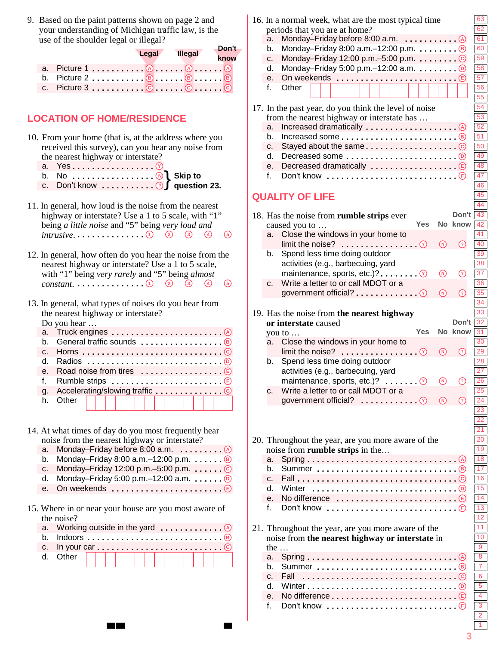9. Based on the paint patterns shown on page 2 and your understanding of Michigan traffic law, is the use of the shoulder legal or illegal?

|                                                            |       |                | Don't |
|------------------------------------------------------------|-------|----------------|-------|
|                                                            | Legal | <b>Illegal</b> | know  |
|                                                            |       |                |       |
|                                                            |       |                |       |
| c. Picture $3, \ldots, 3, \ldots, C, \ldots, C, \ldots, C$ |       |                |       |

### **LOCATION OF HOME/RESIDENCE**

- 10. From your home (that is, at the address where you received this survey), can you hear any noise from the nearest highway or interstate?
- a. Yes **Y .................**
- b. No  **N .................**
- c. Don't know  **?** } **Skip to question 23. ...........**
- 11. In general, how loud is the noise from the nearest highway or interstate? Use a 1 to 5 scale, with "1" being *a little noise* and "5" being *very loud and intrusive*. **12345 ..............**
- 12. In general, how often do you hear the noise from the nearest highway or interstate? Use a 1 to 5 scale, with "1" being *very rarely* and "5" being *almost* **constant.** . . . . . . . . . . . . . . . 0 2 3 4 5
- 13. In general, what types of noises do you hear from the nearest highway or interstate?

Do you hear …

|  | α. |               |  |
|--|----|---------------|--|
|  |    | h. Other<br>. |  |
|  |    |               |  |

- 14. At what times of day do you most frequently hear noise from the nearest highway or interstate?
- a. Monday–Friday before 8:00 a.m. **A .........**
- b. Monday–Friday 8:00 a.m.–12:00 p.m. **B ......**
- c. Monday–Friday 12:00 p.m.–5:00 p.m. **C ......**
- d. Monday–Friday 5:00 p.m.–12:00 a.m. **D ......**
- e. On weekends **E .......................**
- 15. Where in or near your house are you most aware of the noise?

|  | d. Other $   $ $  $ $  $ $  $ $  $ $  $ $  $ $  $ $  $ |  |  |  |  |  |  |  |  |
|--|--------------------------------------------------------|--|--|--|--|--|--|--|--|
|  |                                                        |  |  |  |  |  |  |  |  |

|  |                                            | 16. In a normal week, what are the most typical time<br>periods that you are at home?               |                                                   |         | 63<br>62                                               |  |  |  |  |
|--|--------------------------------------------|-----------------------------------------------------------------------------------------------------|---------------------------------------------------|---------|--------------------------------------------------------|--|--|--|--|
|  | a.                                         | Monday-Friday before 8:00 a.m.<br>. (A)                                                             |                                                   |         | 61                                                     |  |  |  |  |
|  | b.                                         | Monday-Friday 8:00 a.m. $-12:00$ p.m. $\circledR$                                                   |                                                   |         | 60                                                     |  |  |  |  |
|  | c.                                         |                                                                                                     |                                                   |         | 59                                                     |  |  |  |  |
|  | d.                                         |                                                                                                     |                                                   |         | 58                                                     |  |  |  |  |
|  | е.                                         | On weekends                                                                                         |                                                   | (E)     | 57                                                     |  |  |  |  |
|  | f.                                         | Other                                                                                               |                                                   |         | 56                                                     |  |  |  |  |
|  |                                            |                                                                                                     |                                                   |         | 55                                                     |  |  |  |  |
|  |                                            |                                                                                                     |                                                   |         | 54                                                     |  |  |  |  |
|  |                                            | 17. In the past year, do you think the level of noise<br>from the nearest highway or interstate has |                                                   |         | $\overline{53}$                                        |  |  |  |  |
|  | a.                                         |                                                                                                     |                                                   |         | $\overline{52}$                                        |  |  |  |  |
|  | b.                                         |                                                                                                     |                                                   |         | $\overline{51}$                                        |  |  |  |  |
|  | c.                                         |                                                                                                     |                                                   |         | 50                                                     |  |  |  |  |
|  | d.                                         |                                                                                                     |                                                   |         | 49                                                     |  |  |  |  |
|  | е.                                         |                                                                                                     |                                                   |         | 48                                                     |  |  |  |  |
|  | f.                                         | Don't know $\ldots \ldots \ldots \ldots \ldots \ldots \ldots$                                       |                                                   |         | 47                                                     |  |  |  |  |
|  |                                            |                                                                                                     |                                                   |         | 46                                                     |  |  |  |  |
|  |                                            |                                                                                                     |                                                   |         | 45                                                     |  |  |  |  |
|  |                                            | <b>QUALITY OF LIFE</b>                                                                              |                                                   |         | 44                                                     |  |  |  |  |
|  |                                            |                                                                                                     |                                                   | Don't   | 43                                                     |  |  |  |  |
|  |                                            | 18. Has the noise from rumble strips ever<br>Yes                                                    |                                                   | No know | 42                                                     |  |  |  |  |
|  | a.                                         | caused you to<br>Close the windows in your home to                                                  |                                                   |         | 41                                                     |  |  |  |  |
|  |                                            | limit the noise?<br>$\mathcal{C}$                                                                   | $\textcolor{red}{\textcircled{\tiny \mathsf{N}}}$ | の       | 40                                                     |  |  |  |  |
|  | b.                                         | .<br>Spend less time doing outdoor                                                                  |                                                   |         | 39                                                     |  |  |  |  |
|  |                                            |                                                                                                     |                                                   |         | 38                                                     |  |  |  |  |
|  |                                            | activities (e.g., barbecuing, yard<br>maintenance, sports, etc.)?                                   |                                                   |         | $\overline{37}$                                        |  |  |  |  |
|  |                                            | $\blacksquare$ . $\lhd$<br>Write a letter to or call MDOT or a                                      | ⊛                                                 | ⊙       | $\overline{36}$                                        |  |  |  |  |
|  | c.                                         |                                                                                                     | $\textcircled{\tiny n}$                           |         | 35                                                     |  |  |  |  |
|  |                                            | government official? $\ldots \ldots \ldots$                                                         |                                                   | (?)     | 34                                                     |  |  |  |  |
|  |                                            |                                                                                                     |                                                   |         | $\overline{33}$                                        |  |  |  |  |
|  | 19. Has the noise from the nearest highway |                                                                                                     |                                                   |         |                                                        |  |  |  |  |
|  |                                            |                                                                                                     |                                                   |         |                                                        |  |  |  |  |
|  |                                            | or interstate caused                                                                                |                                                   | Don't   | $\overline{32}$                                        |  |  |  |  |
|  |                                            | Yes<br>you to $\dots$                                                                               |                                                   | No know | $\overline{31}$                                        |  |  |  |  |
|  | a.                                         | Close the windows in your home to                                                                   |                                                   |         | 30                                                     |  |  |  |  |
|  |                                            | limit the noise?<br>(Y)<br>.                                                                        | $\mathcal{F}$                                     | ?)      | 29                                                     |  |  |  |  |
|  | b.                                         | Spend less time doing outdoor                                                                       |                                                   |         | 28                                                     |  |  |  |  |
|  |                                            | activities (e.g., barbecuing, yard                                                                  |                                                   |         | $\overline{27}$                                        |  |  |  |  |
|  |                                            | maintenance, sports, etc.)? $\ldots$ (v)                                                            | $\circled{b}$                                     | ⊙       | 26                                                     |  |  |  |  |
|  | c.                                         | Write a letter to or call MDOT or a                                                                 |                                                   |         | 25                                                     |  |  |  |  |
|  |                                            | government official?<br>. 0                                                                         | $\circledR$                                       | ᢙ       | 24                                                     |  |  |  |  |
|  |                                            |                                                                                                     |                                                   |         | 23                                                     |  |  |  |  |
|  |                                            |                                                                                                     |                                                   |         | $\overline{22}$                                        |  |  |  |  |
|  |                                            |                                                                                                     |                                                   |         | $\overline{21}$                                        |  |  |  |  |
|  |                                            | 20. Throughout the year, are you more aware of the                                                  |                                                   |         | $\overline{20}$                                        |  |  |  |  |
|  |                                            | noise from rumble strips in the                                                                     |                                                   |         | $\overline{19}$                                        |  |  |  |  |
|  | a.                                         |                                                                                                     |                                                   |         | $\overline{18}$                                        |  |  |  |  |
|  | b.                                         |                                                                                                     |                                                   |         | $\overline{17}$                                        |  |  |  |  |
|  | c.                                         |                                                                                                     |                                                   |         | $\overline{16}$                                        |  |  |  |  |
|  | d.                                         | Winter                                                                                              |                                                   |         | $\overline{15}$                                        |  |  |  |  |
|  | е.                                         | No difference $\ldots \ldots \ldots \ldots \ldots \ldots \in$                                       |                                                   |         | 14                                                     |  |  |  |  |
|  | f.                                         | Don't know $\ldots \ldots \ldots \ldots \ldots \ldots \ldots$                                       |                                                   |         | $\overline{13}$                                        |  |  |  |  |
|  |                                            |                                                                                                     |                                                   |         | 12                                                     |  |  |  |  |
|  |                                            | 21. Throughout the year, are you more aware of the                                                  |                                                   |         | $\overline{11}$                                        |  |  |  |  |
|  |                                            | noise from the nearest highway or interstate in                                                     |                                                   |         | $\overline{10}$                                        |  |  |  |  |
|  | the $\ldots$                               |                                                                                                     |                                                   |         | $\overline{9}$                                         |  |  |  |  |
|  | a.                                         |                                                                                                     |                                                   |         | $\overline{8}$                                         |  |  |  |  |
|  | b.                                         |                                                                                                     |                                                   |         | $\overline{7}$                                         |  |  |  |  |
|  | C.                                         | Fall                                                                                                |                                                   |         | $\overline{6}$                                         |  |  |  |  |
|  | d.                                         |                                                                                                     |                                                   |         | $\overline{5}$                                         |  |  |  |  |
|  | е.                                         | No difference $\dots\dots\dots\dots\dots\dots\dots\dots\oplus$                                      |                                                   |         | $\overline{4}$                                         |  |  |  |  |
|  | f.                                         | Don't know                                                                                          |                                                   |         | $\overline{\overline{3}}$<br>$\overline{\overline{2}}$ |  |  |  |  |

**3**